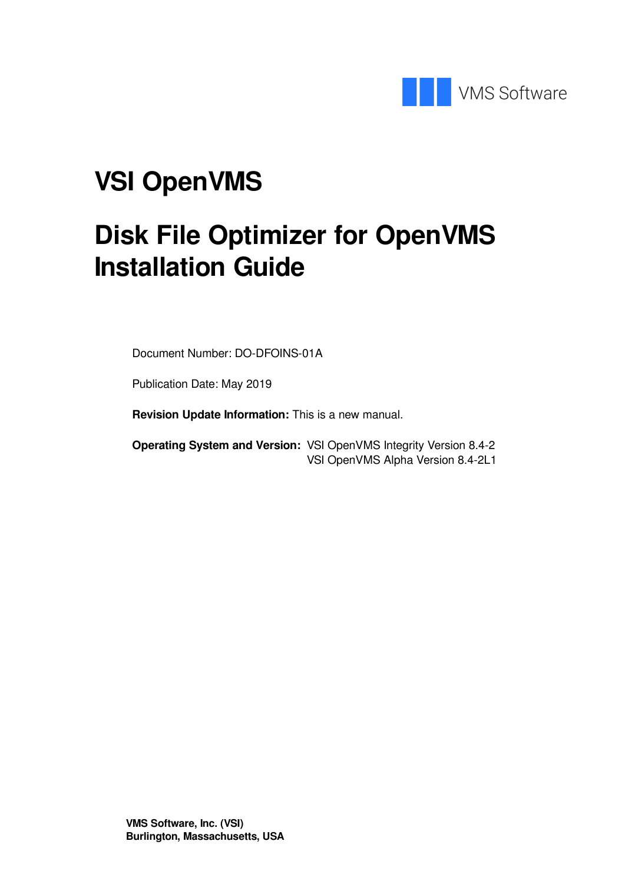

# **VSI OpenVMS**

# **Disk File Optimizer for OpenVMS Installation Guide**

Document Number: DO-DFOINS-01A

Publication Date: May 2019

**Revision Update Information:** This is a new manual.

**Operating System and Version:** VSI OpenVMS Integrity Version 8.4-2 VSI OpenVMS Alpha Version 8.4-2L1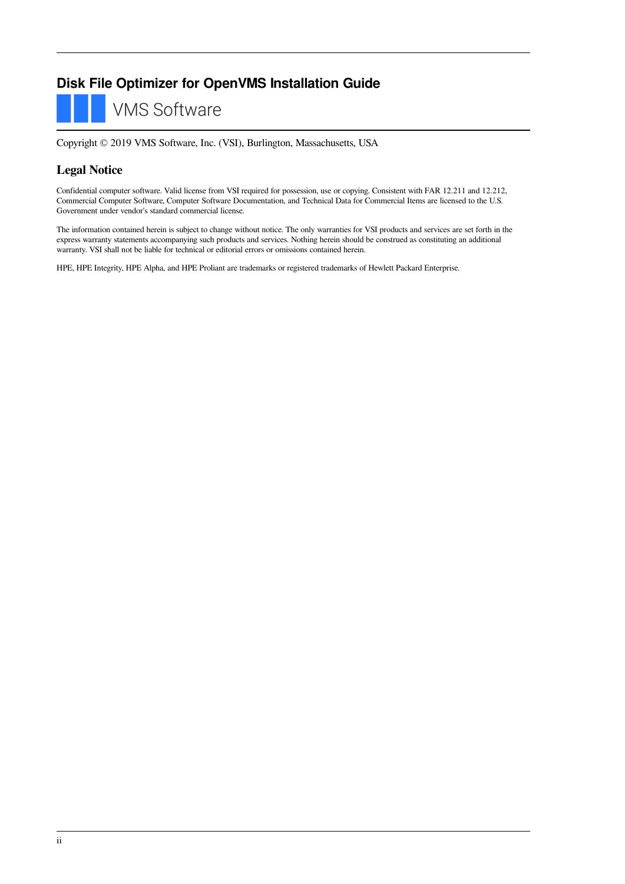### **Disk File Optimizer for OpenVMS Installation Guide**

**VMS Software** 

Copyright © 2019 VMS Software, Inc. (VSI), Burlington, Massachusetts, USA

### **Legal Notice**

Confidential computer software. Valid license from VSI required for possession, use or copying. Consistent with FAR 12.211 and 12.212, Commercial Computer Software, Computer Software Documentation, and Technical Data for Commercial Items are licensed to the U.S. Government under vendor's standard commercial license.

The information contained herein is subject to change without notice. The only warranties for VSI products and services are set forth in the express warranty statements accompanying such products and services. Nothing herein should be construed as constituting an additional warranty. VSI shall not be liable for technical or editorial errors or omissions contained herein.

HPE, HPE Integrity, HPE Alpha, and HPE Proliant are trademarks or registered trademarks of Hewlett Packard Enterprise.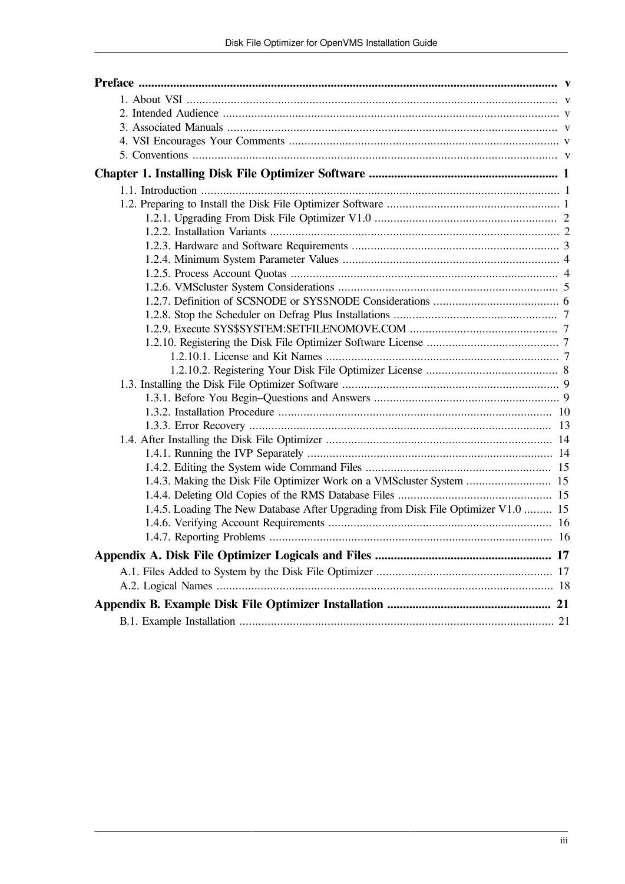| 1.4.3. Making the Disk File Optimizer Work on a VMScluster System  15             |  |
|-----------------------------------------------------------------------------------|--|
|                                                                                   |  |
| 1.4.5. Loading The New Database After Upgrading from Disk File Optimizer V1.0  15 |  |
|                                                                                   |  |
|                                                                                   |  |
|                                                                                   |  |
|                                                                                   |  |
|                                                                                   |  |
|                                                                                   |  |
|                                                                                   |  |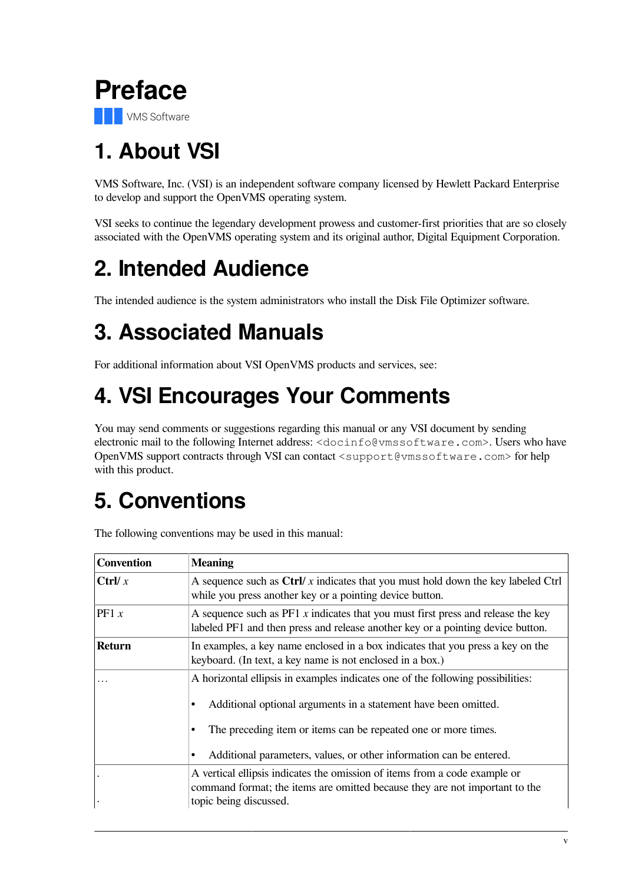<span id="page-4-0"></span>

# <span id="page-4-1"></span>**1. About VSI**

VMS Software, Inc. (VSI) is an independent software company licensed by Hewlett Packard Enterprise to develop and support the OpenVMS operating system.

VSI seeks to continue the legendary development prowess and customer-first priorities that are so closely associated with the OpenVMS operating system and its original author, Digital Equipment Corporation.

# <span id="page-4-2"></span>**2. Intended Audience**

The intended audience is the system administrators who install the Disk File Optimizer software.

# <span id="page-4-3"></span>**3. Associated Manuals**

For additional information about VSI OpenVMS products and services, see:

# <span id="page-4-4"></span>**4. VSI Encourages Your Comments**

You may send comments or suggestions regarding this manual or any VSI document by sending electronic mail to the following Internet address: <docinfo@vmssoftware.com>. Users who have OpenVMS support contracts through VSI can contact <support@vmssoftware.com> for help with this product.

# <span id="page-4-5"></span>**5. Conventions**

The following conventions may be used in this manual:

| <b>Convention</b> | <b>Meaning</b>                                                                                                                                                                                                                                                                                                             |
|-------------------|----------------------------------------------------------------------------------------------------------------------------------------------------------------------------------------------------------------------------------------------------------------------------------------------------------------------------|
| Ctrl/ $x$         | A sequence such as $\frac{C}{V}$ x indicates that you must hold down the key labeled $C$ trl<br>while you press another key or a pointing device button.                                                                                                                                                                   |
| PF1 $x$           | A sequence such as $PFT x$ indicates that you must first press and release the key<br>labeled PF1 and then press and release another key or a pointing device button.                                                                                                                                                      |
| <b>Return</b>     | In examples, a key name enclosed in a box indicates that you press a key on the<br>keyboard. (In text, a key name is not enclosed in a box.)                                                                                                                                                                               |
| .                 | A horizontal ellipsis in examples indicates one of the following possibilities:<br>Additional optional arguments in a statement have been omitted.<br>٠<br>The preceding item or items can be repeated one or more times.<br>$\bullet$<br>Additional parameters, values, or other information can be entered.<br>$\bullet$ |
| $\bullet$         | A vertical ellipsis indicates the omission of items from a code example or<br>command format; the items are omitted because they are not important to the<br>topic being discussed.                                                                                                                                        |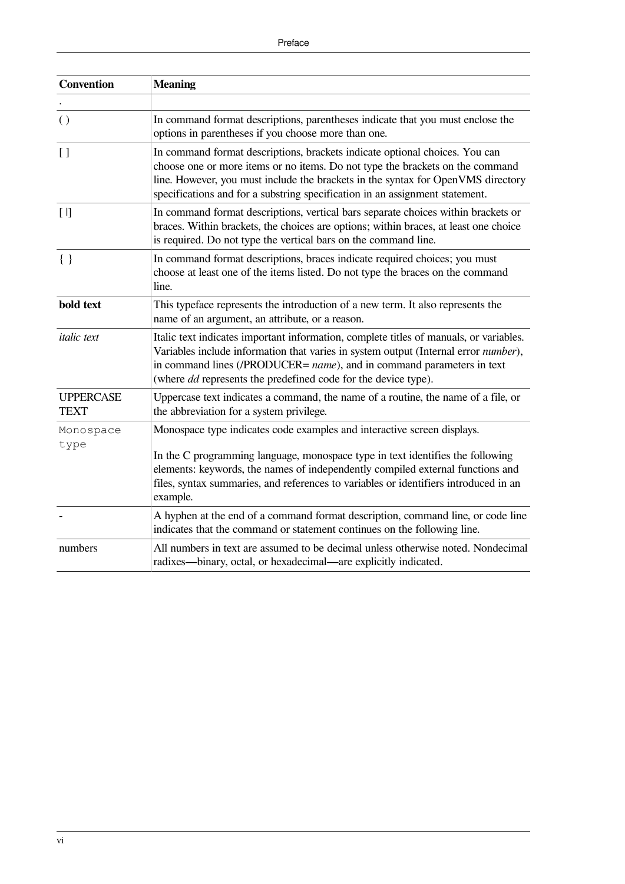| <b>Convention</b>               | <b>Meaning</b>                                                                                                                                                                                                                                                                                                                                  |
|---------------------------------|-------------------------------------------------------------------------------------------------------------------------------------------------------------------------------------------------------------------------------------------------------------------------------------------------------------------------------------------------|
|                                 |                                                                                                                                                                                                                                                                                                                                                 |
| $\left( \right)$                | In command format descriptions, parentheses indicate that you must enclose the<br>options in parentheses if you choose more than one.                                                                                                                                                                                                           |
| $\vert$ []                      | In command format descriptions, brackets indicate optional choices. You can<br>choose one or more items or no items. Do not type the brackets on the command<br>line. However, you must include the brackets in the syntax for OpenVMS directory<br>specifications and for a substring specification in an assignment statement.                |
| [1]                             | In command format descriptions, vertical bars separate choices within brackets or<br>braces. Within brackets, the choices are options; within braces, at least one choice<br>is required. Do not type the vertical bars on the command line.                                                                                                    |
| $\{\ \}$                        | In command format descriptions, braces indicate required choices; you must<br>choose at least one of the items listed. Do not type the braces on the command<br>line.                                                                                                                                                                           |
| bold text                       | This typeface represents the introduction of a new term. It also represents the<br>name of an argument, an attribute, or a reason.                                                                                                                                                                                                              |
| <i>italic</i> text              | Italic text indicates important information, complete titles of manuals, or variables.<br>Variables include information that varies in system output (Internal error number),<br>in command lines (/PRODUCER= name), and in command parameters in text<br>(where <i>dd</i> represents the predefined code for the device type).                 |
| <b>UPPERCASE</b><br><b>TEXT</b> | Uppercase text indicates a command, the name of a routine, the name of a file, or<br>the abbreviation for a system privilege.                                                                                                                                                                                                                   |
| Monospace<br>type               | Monospace type indicates code examples and interactive screen displays.<br>In the C programming language, monospace type in text identifies the following<br>elements: keywords, the names of independently compiled external functions and<br>files, syntax summaries, and references to variables or identifiers introduced in an<br>example. |
|                                 | A hyphen at the end of a command format description, command line, or code line<br>indicates that the command or statement continues on the following line.                                                                                                                                                                                     |
| numbers                         | All numbers in text are assumed to be decimal unless otherwise noted. Nondecimal<br>radixes—binary, octal, or hexadecimal—are explicitly indicated.                                                                                                                                                                                             |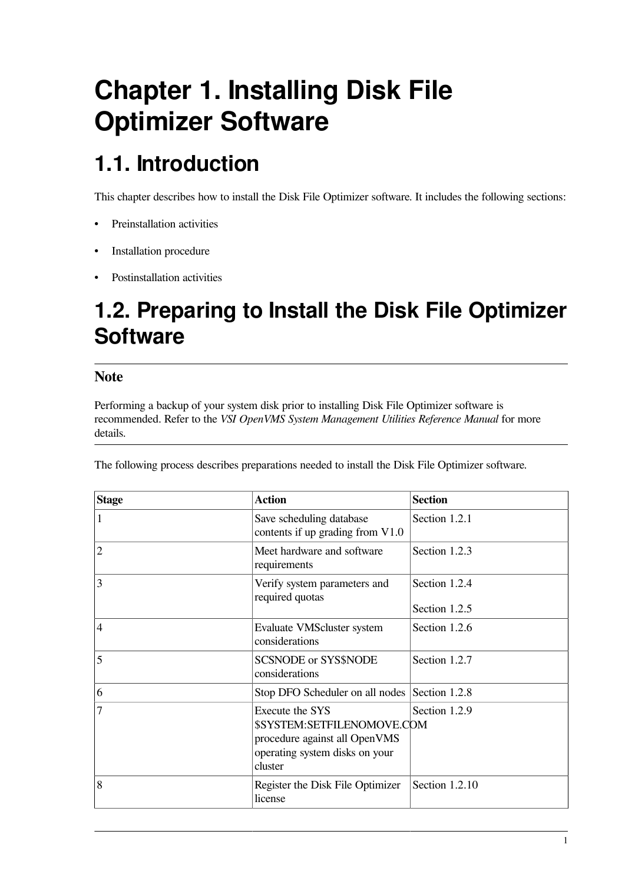# <span id="page-6-0"></span>**Chapter 1. Installing Disk File Optimizer Software**

# <span id="page-6-1"></span>**1.1. Introduction**

This chapter describes how to install the Disk File Optimizer software. It includes the following sections:

- Preinstallation activities
- Installation procedure
- Postinstallation activities

# <span id="page-6-2"></span>**1.2. Preparing to Install the Disk File Optimizer Software**

### **Note**

Performing a backup of your system disk prior to installing Disk File Optimizer software is recommended. Refer to the *VSI OpenVMS System Management Utilities Reference Manual* for more details.

The following process describes preparations needed to install the Disk File Optimizer software.

| <b>Stage</b>   | <b>Action</b>                                                                                                               | <b>Section</b>                 |
|----------------|-----------------------------------------------------------------------------------------------------------------------------|--------------------------------|
| 1              | Save scheduling database<br>contents if up grading from V1.0                                                                | Section 1.2.1                  |
| $\overline{2}$ | Meet hardware and software<br>requirements                                                                                  | Section 1.2.3                  |
| $\overline{3}$ | Verify system parameters and<br>required quotas                                                                             | Section 1.2.4<br>Section 1.2.5 |
| $\overline{4}$ | Evaluate VMScluster system<br>considerations                                                                                | Section 1.2.6                  |
| 5              | <b>SCSNODE</b> or SYS\$NODE<br>considerations                                                                               | Section 1.2.7                  |
| 6              | Stop DFO Scheduler on all nodes Section 1.2.8                                                                               |                                |
| $\overline{7}$ | Execute the SYS<br>\$SYSTEM:SETFILENOMOVE.COM<br>procedure against all OpenVMS<br>operating system disks on your<br>cluster | Section 1.2.9                  |
| 8              | Register the Disk File Optimizer<br>license                                                                                 | Section 1.2.10                 |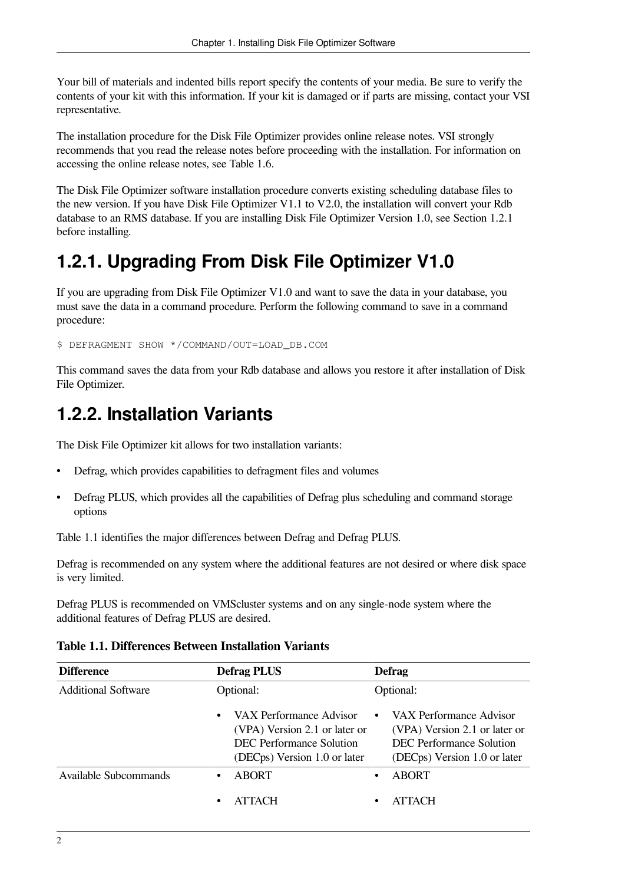Your bill of materials and indented bills report specify the contents of your media. Be sure to verify the contents of your kit with this information. If your kit is damaged or if parts are missing, contact your VSI representative.

The installation procedure for the Disk File Optimizer provides online release notes. VSI strongly recommends that you read the release notes before proceeding with the installation. For information on accessing the online release notes, see [Table](#page-15-1) 1.6.

The Disk File Optimizer software installation procedure converts existing scheduling database files to the new version. If you have Disk File Optimizer V1.1 to V2.0, the installation will convert your Rdb database to an RMS database. If you are installing Disk File Optimizer Version 1.0, see [Section](#page-7-0) 1.2.1 before installing.

## <span id="page-7-0"></span>**1.2.1. Upgrading From Disk File Optimizer V1.0**

If you are upgrading from Disk File Optimizer V1.0 and want to save the data in your database, you must save the data in a command procedure. Perform the following command to save in a command procedure:

\$ DEFRAGMENT SHOW \*/COMMAND/OUT=LOAD\_DB.COM

This command saves the data from your Rdb database and allows you restore it after installation of Disk File Optimizer.

## <span id="page-7-1"></span>**1.2.2. Installation Variants**

The Disk File Optimizer kit allows for two installation variants:

- Defrag, which provides capabilities to defragment files and volumes
- Defrag PLUS, which provides all the capabilities of Defrag plus scheduling and command storage options

[Table](#page-7-2) 1.1 identifies the major differences between Defrag and Defrag PLUS.

Defrag is recommended on any system where the additional features are not desired or where disk space is very limited.

Defrag PLUS is recommended on VMScluster systems and on any single-node system where the additional features of Defrag PLUS are desired.

<span id="page-7-2"></span>**Table 1.1. Differences Between Installation Variants**

| <b>Difference</b>          | <b>Defrag PLUS</b>                                                                                                   | <b>Defrag</b>                                                                                                        |
|----------------------------|----------------------------------------------------------------------------------------------------------------------|----------------------------------------------------------------------------------------------------------------------|
| <b>Additional Software</b> | Optional:                                                                                                            | Optional:                                                                                                            |
|                            | VAX Performance Advisor<br>(VPA) Version 2.1 or later or<br>DEC Performance Solution<br>(DECps) Version 1.0 or later | VAX Performance Advisor<br>(VPA) Version 2.1 or later or<br>DEC Performance Solution<br>(DECps) Version 1.0 or later |
| Available Subcommands      | <b>ABORT</b>                                                                                                         | <b>ABORT</b>                                                                                                         |
|                            | <b>ATTACH</b>                                                                                                        | <b>ATTACH</b><br>٠                                                                                                   |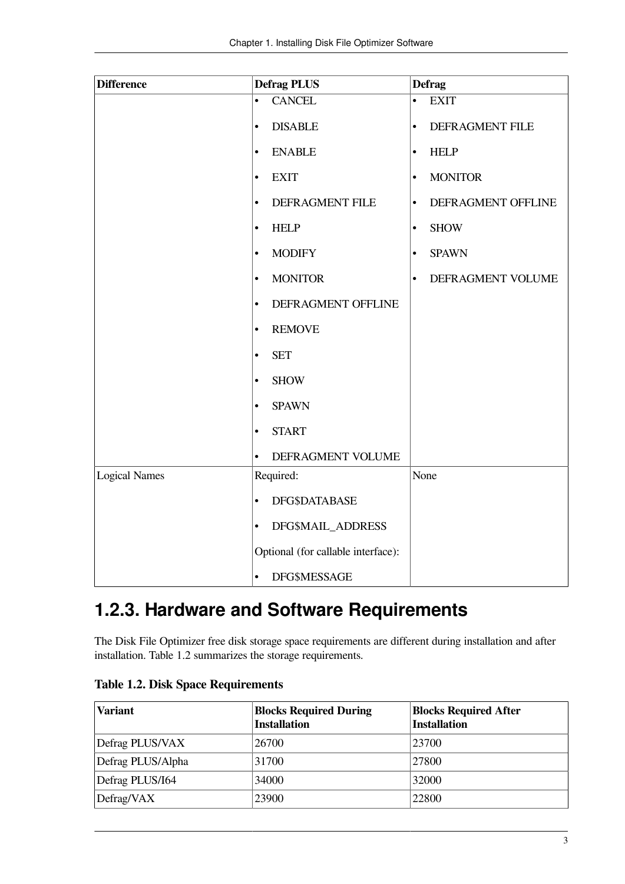| <b>Difference</b>    | <b>Defrag PLUS</b>                 | <b>Defrag</b>                   |
|----------------------|------------------------------------|---------------------------------|
|                      | <b>CANCEL</b><br>$\bullet$         | <b>EXIT</b><br>$\bullet$        |
|                      | <b>DISABLE</b><br>$\bullet$        | DEFRAGMENT FILE<br>$\bullet$    |
|                      | <b>ENABLE</b><br>$\bullet$         | <b>HELP</b><br>$\bullet$        |
|                      | <b>EXIT</b><br>$\bullet$           | <b>MONITOR</b><br>٠             |
|                      | DEFRAGMENT FILE<br>$\bullet$       | DEFRAGMENT OFFLINE<br>$\bullet$ |
|                      | <b>HELP</b><br>$\bullet$           | <b>SHOW</b><br>$\bullet$        |
|                      | <b>MODIFY</b><br>$\bullet$         | <b>SPAWN</b><br>$\bullet$       |
|                      | <b>MONITOR</b><br>$\bullet$        | DEFRAGMENT VOLUME<br>$\bullet$  |
|                      | DEFRAGMENT OFFLINE<br>$\bullet$    |                                 |
|                      | <b>REMOVE</b><br>$\bullet$         |                                 |
|                      | <b>SET</b><br>$\bullet$            |                                 |
|                      | <b>SHOW</b><br>$\bullet$           |                                 |
|                      | <b>SPAWN</b><br>$\bullet$          |                                 |
|                      | <b>START</b><br>$\bullet$          |                                 |
|                      | DEFRAGMENT VOLUME<br>$\bullet$     |                                 |
| <b>Logical Names</b> | Required:                          | None                            |
|                      | DFG\$DATABASE<br>$\bullet$         |                                 |
|                      | DFG\$MAIL_ADDRESS<br>$\bullet$     |                                 |
|                      | Optional (for callable interface): |                                 |
|                      | <b>DFG\$MESSAGE</b><br>$\bullet$   |                                 |

## <span id="page-8-0"></span>**1.2.3. Hardware and Software Requirements**

The Disk File Optimizer free disk storage space requirements are different during installation and after installation. [Table](#page-8-1) 1.2 summarizes the storage requirements.

| <b>Variant</b>    | <b>Blocks Required During</b><br><b>Installation</b> | <b>Blocks Required After</b><br><b>Installation</b> |
|-------------------|------------------------------------------------------|-----------------------------------------------------|
| Defrag PLUS/VAX   | 26700                                                | 23700                                               |
| Defrag PLUS/Alpha | 31700                                                | 27800                                               |
| Defrag PLUS/I64   | 34000                                                | 32000                                               |
| Defrag/VAX        | 23900                                                | 22800                                               |

<span id="page-8-1"></span>**Table 1.2. Disk Space Requirements**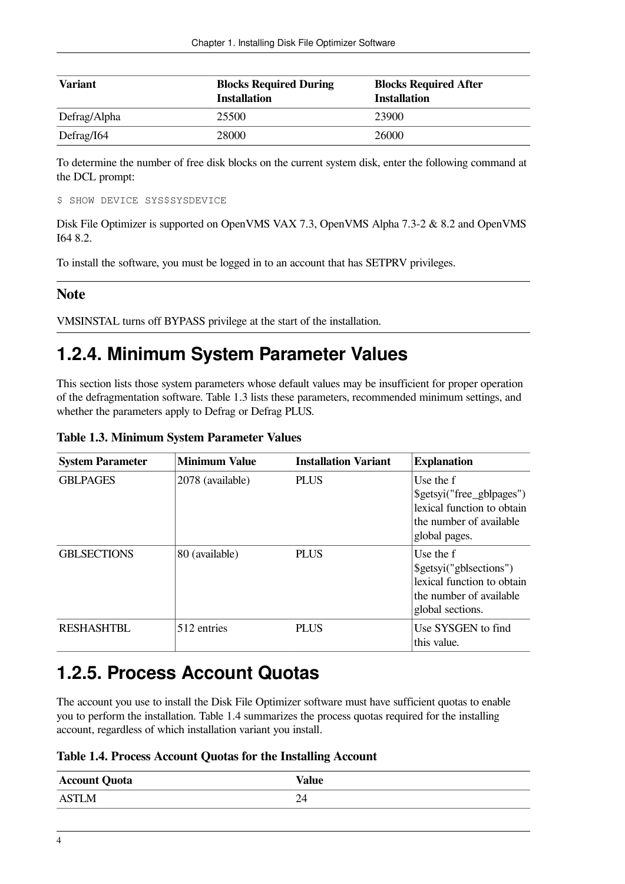| <b>Variant</b>      | <b>Blocks Required During</b><br><b>Installation</b> | <b>Blocks Required After</b><br><b>Installation</b> |
|---------------------|------------------------------------------------------|-----------------------------------------------------|
| Defrag/Alpha        | 25500                                                | 23900                                               |
| $\Delta$ Defrag/I64 | 28000                                                | 26000                                               |

To determine the number of free disk blocks on the current system disk, enter the following command at the DCL prompt:

```
$ SHOW DEVICE SYS$SYSDEVICE
```
Disk File Optimizer is supported on OpenVMS VAX 7.3, OpenVMS Alpha 7.3-2 & 8.2 and OpenVMS I64 8.2.

To install the software, you must be logged in to an account that has SETPRV privileges.

### **Note**

VMSINSTAL turns off BYPASS privilege at the start of the installation.

## <span id="page-9-0"></span>**1.2.4. Minimum System Parameter Values**

This section lists those system parameters whose default values may be insufficient for proper operation of the defragmentation software. [Table](#page-9-2) 1.3 lists these parameters, recommended minimum settings, and whether the parameters apply to Defrag or Defrag PLUS.

<span id="page-9-2"></span>**Table 1.3. Minimum System Parameter Values**

| <b>System Parameter</b> | <b>Minimum Value</b> | <b>Installation Variant</b> | <b>Explanation</b>                                                                                                |
|-------------------------|----------------------|-----------------------------|-------------------------------------------------------------------------------------------------------------------|
| <b>GBLPAGES</b>         | 2078 (available)     | <b>PLUS</b>                 | Use the f<br>\$getsyi("free_gblpages")<br>lexical function to obtain<br>the number of available<br>global pages.  |
| <b>GBLSECTIONS</b>      | 80 (available)       | <b>PLUS</b>                 | Use the f<br>\$getsyi("gblsections")<br>lexical function to obtain<br>the number of available<br>global sections. |
| <b>RESHASHTBL</b>       | 512 entries          | <b>PLUS</b>                 | Use SYSGEN to find<br>this value.                                                                                 |

### <span id="page-9-1"></span>**1.2.5. Process Account Quotas**

The account you use to install the Disk File Optimizer software must have sufficient quotas to enable you to perform the installation. [Table](#page-9-3) 1.4 summarizes the process quotas required for the installing account, regardless of which installation variant you install.

<span id="page-9-3"></span>

| Table 1.4. Process Account Quotas for the Installing Account |  |  |
|--------------------------------------------------------------|--|--|
|--------------------------------------------------------------|--|--|

| <b>Account Quota</b> | <b>Value</b> |
|----------------------|--------------|
| <b>ASTLM</b>         | 24           |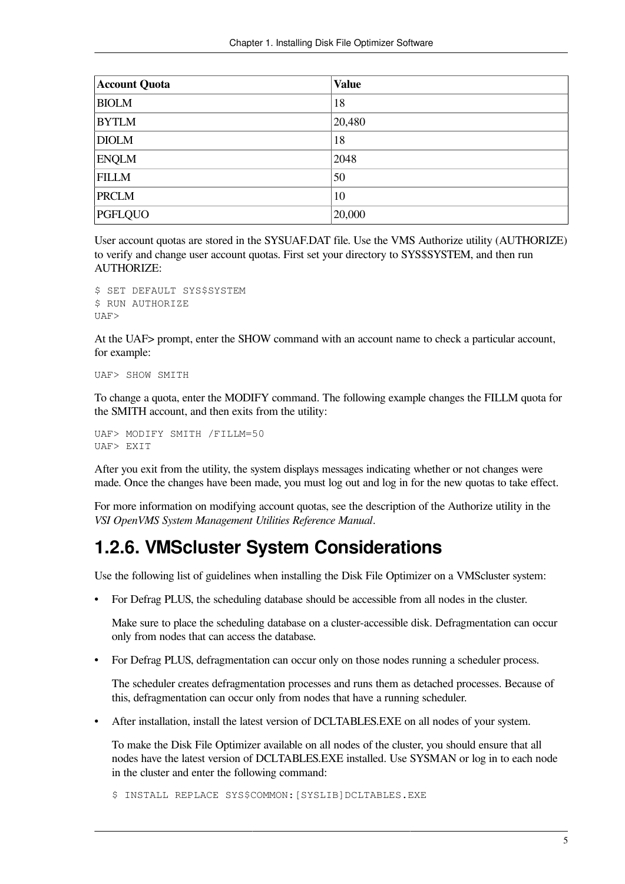| <b>Account Quota</b> | <b>Value</b> |
|----------------------|--------------|
| <b>BIOLM</b>         | 18           |
| <b>BYTLM</b>         | 20,480       |
| <b>DIOLM</b>         | 18           |
| <b>ENQLM</b>         | 2048         |
| <b>FILLM</b>         | 50           |
| <b>PRCLM</b>         | 10           |
| PGFLQUO              | 20,000       |

User account quotas are stored in the SYSUAF.DAT file. Use the VMS Authorize utility (AUTHORIZE) to verify and change user account quotas. First set your directory to SYS\$SYSTEM, and then run AUTHORIZE:

```
$ SET DEFAULT SYS$SYSTEM
$ RUN AUTHORIZE
IJAF
```
At the UAF> prompt, enter the SHOW command with an account name to check a particular account, for example:

```
UAF> SHOW SMITH
```
To change a quota, enter the MODIFY command. The following example changes the FILLM quota for the SMITH account, and then exits from the utility:

```
UAF> MODIFY SMITH /FILLM=50
UAF> EXIT
```
After you exit from the utility, the system displays messages indicating whether or not changes were made. Once the changes have been made, you must log out and log in for the new quotas to take effect.

For more information on modifying account quotas, see the description of the Authorize utility in the *VSI OpenVMS System Management Utilities Reference Manual*.

## <span id="page-10-0"></span>**1.2.6. VMScluster System Considerations**

Use the following list of guidelines when installing the Disk File Optimizer on a VMScluster system:

• For Defrag PLUS, the scheduling database should be accessible from all nodes in the cluster.

Make sure to place the scheduling database on a cluster-accessible disk. Defragmentation can occur only from nodes that can access the database.

• For Defrag PLUS, defragmentation can occur only on those nodes running a scheduler process.

The scheduler creates defragmentation processes and runs them as detached processes. Because of this, defragmentation can occur only from nodes that have a running scheduler.

• After installation, install the latest version of DCLTABLES.EXE on all nodes of your system.

To make the Disk File Optimizer available on all nodes of the cluster, you should ensure that all nodes have the latest version of DCLTABLES.EXE installed. Use SYSMAN or log in to each node in the cluster and enter the following command:

\$ INSTALL REPLACE SYS\$COMMON:[SYSLIB]DCLTABLES.EXE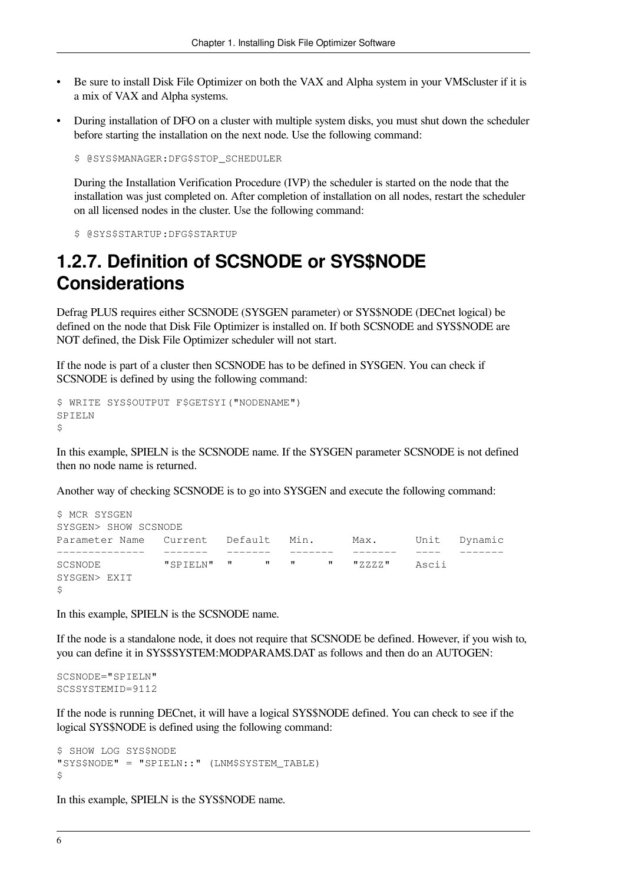- Be sure to install Disk File Optimizer on both the VAX and Alpha system in your VMScluster if it is a mix of VAX and Alpha systems.
- During installation of DFO on a cluster with multiple system disks, you must shut down the scheduler before starting the installation on the next node. Use the following command:

\$ @SYS\$MANAGER:DFG\$STOP\_SCHEDULER

During the Installation Verification Procedure (IVP) the scheduler is started on the node that the installation was just completed on. After completion of installation on all nodes, restart the scheduler on all licensed nodes in the cluster. Use the following command:

\$ @SYS\$STARTUP:DFG\$STARTUP

### <span id="page-11-0"></span>**1.2.7. Definition of SCSNODE or SYS\$NODE Considerations**

Defrag PLUS requires either SCSNODE (SYSGEN parameter) or SYS\$NODE (DECnet logical) be defined on the node that Disk File Optimizer is installed on. If both SCSNODE and SYS\$NODE are NOT defined, the Disk File Optimizer scheduler will not start.

If the node is part of a cluster then SCSNODE has to be defined in SYSGEN. You can check if SCSNODE is defined by using the following command:

```
$ WRITE SYS$OUTPUT F$GETSYI("NODENAME")
SPIELN
$
```
In this example, SPIELN is the SCSNODE name. If the SYSGEN parameter SCSNODE is not defined then no node name is returned.

Another way of checking SCSNODE is to go into SYSGEN and execute the following command:

```
$ MCR SYSGEN
SYSGEN> SHOW SCSNODE
Parameter Name Current Default Min. Max. Unit Dynamic
-------------- ------- ------- ------- ------- ---- -------
SCSNODE "SPIELN" " " " " "ZZZZ" Ascii
SYSGEN> EXIT
\mathsf{S}
```
In this example, SPIELN is the SCSNODE name.

If the node is a standalone node, it does not require that SCSNODE be defined. However, if you wish to, you can define it in SYS\$SYSTEM:MODPARAMS.DAT as follows and then do an AUTOGEN:

SCSNODE="SPIELN" SCSSYSTEMID=9112

If the node is running DECnet, it will have a logical SYS\$NODE defined. You can check to see if the logical SYS\$NODE is defined using the following command:

```
$ SHOW LOG SYS$NODE
"SYS$NODE" = "SPIELN::" (LNM$SYSTEM_TABLE)
\mathsf{S}
```
In this example, SPIELN is the SYS\$NODE name.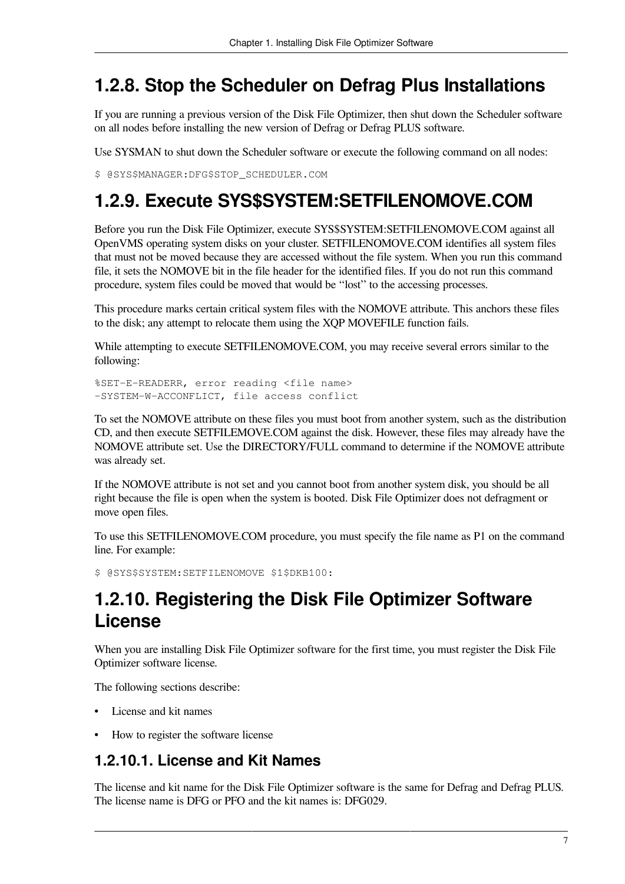## <span id="page-12-0"></span>**1.2.8. Stop the Scheduler on Defrag Plus Installations**

If you are running a previous version of the Disk File Optimizer, then shut down the Scheduler software on all nodes before installing the new version of Defrag or Defrag PLUS software.

Use SYSMAN to shut down the Scheduler software or execute the following command on all nodes:

\$ @SYS\$MANAGER:DFG\$STOP\_SCHEDULER.COM

## <span id="page-12-1"></span>**1.2.9. Execute SYS\$SYSTEM:SETFILENOMOVE.COM**

Before you run the Disk File Optimizer, execute SYS\$SYSTEM:SETFILENOMOVE.COM against all OpenVMS operating system disks on your cluster. SETFILENOMOVE.COM identifies all system files that must not be moved because they are accessed without the file system. When you run this command file, it sets the NOMOVE bit in the file header for the identified files. If you do not run this command procedure, system files could be moved that would be ''lost'' to the accessing processes.

This procedure marks certain critical system files with the NOMOVE attribute. This anchors these files to the disk; any attempt to relocate them using the XQP MOVEFILE function fails.

While attempting to execute SETFILENOMOVE.COM, you may receive several errors similar to the following:

```
%SET-E-READERR, error reading <file name>
-SYSTEM-W-ACCONFLICT, file access conflict
```
To set the NOMOVE attribute on these files you must boot from another system, such as the distribution CD, and then execute SETFILEMOVE.COM against the disk. However, these files may already have the NOMOVE attribute set. Use the DIRECTORY/FULL command to determine if the NOMOVE attribute was already set.

If the NOMOVE attribute is not set and you cannot boot from another system disk, you should be all right because the file is open when the system is booted. Disk File Optimizer does not defragment or move open files.

To use this SETFILENOMOVE.COM procedure, you must specify the file name as P1 on the command line. For example:

\$ @SYS\$SYSTEM:SETFILENOMOVE \$1\$DKB100:

## <span id="page-12-2"></span>**1.2.10. Registering the Disk File Optimizer Software License**

When you are installing Disk File Optimizer software for the first time, you must register the Disk File Optimizer software license.

The following sections describe:

- License and kit names
- How to register the software license

### <span id="page-12-3"></span>**1.2.10.1. License and Kit Names**

The license and kit name for the Disk File Optimizer software is the same for Defrag and Defrag PLUS. The license name is DFG or PFO and the kit names is: DFG029.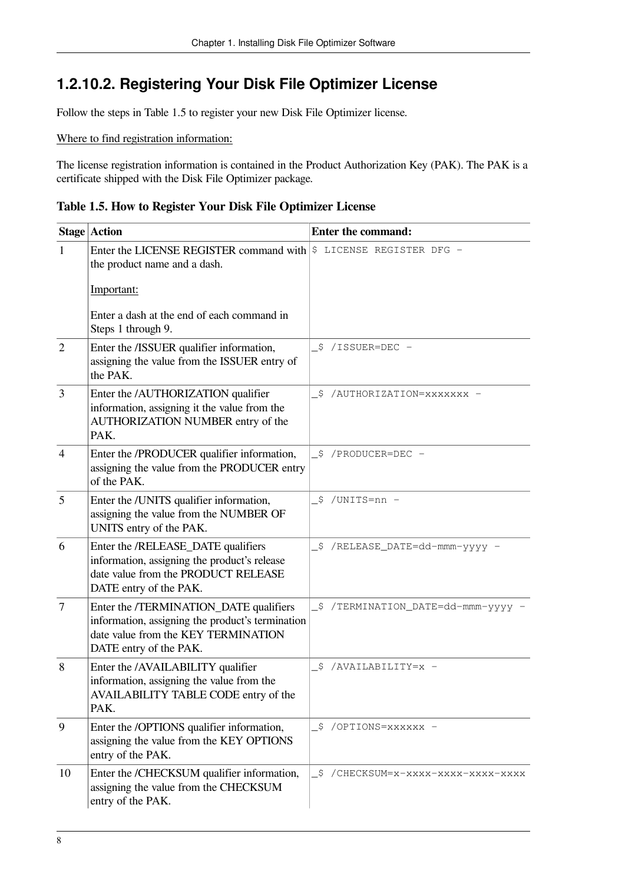### <span id="page-13-0"></span>**1.2.10.2. Registering Your Disk File Optimizer License**

Follow the steps in [Table](#page-13-1) 1.5 to register your new Disk File Optimizer license.

Where to find registration information:

The license registration information is contained in the Product Authorization Key (PAK). The PAK is a certificate shipped with the Disk File Optimizer package.

<span id="page-13-1"></span>**Table 1.5. How to Register Your Disk File Optimizer License**

|                  | <b>Stage Action</b>                                                                                                                                         | <b>Enter the command:</b>          |
|------------------|-------------------------------------------------------------------------------------------------------------------------------------------------------------|------------------------------------|
| $\mathbf{1}$     | Enter the LICENSE REGISTER command with $ \$$ LICENSE REGISTER DFG -<br>the product name and a dash.                                                        |                                    |
|                  | Important:                                                                                                                                                  |                                    |
|                  | Enter a dash at the end of each command in<br>Steps 1 through 9.                                                                                            |                                    |
| $\overline{2}$   | Enter the /ISSUER qualifier information,<br>assigning the value from the ISSUER entry of<br>the PAK.                                                        | \$ /ISSUER=DEC -                   |
| 3                | Enter the /AUTHORIZATION qualifier<br>information, assigning it the value from the<br>AUTHORIZATION NUMBER entry of the<br>PAK.                             | -\$ /AUTHORIZATION=xxxxxxx -       |
| $\overline{4}$   | Enter the /PRODUCER qualifier information,<br>assigning the value from the PRODUCER entry<br>of the PAK.                                                    | _\$ /PRODUCER=DEC -                |
| 5                | Enter the /UNITS qualifier information,<br>assigning the value from the NUMBER OF<br>UNITS entry of the PAK.                                                | \$ /UNITS=nn -                     |
| 6                | Enter the /RELEASE_DATE qualifiers<br>information, assigning the product's release<br>date value from the PRODUCT RELEASE<br>DATE entry of the PAK.         | _\$ /RELEASE_DATE=dd-mmm-yyyy -    |
| $\boldsymbol{7}$ | Enter the /TERMINATION_DATE qualifiers<br>information, assigning the product's termination<br>date value from the KEY TERMINATION<br>DATE entry of the PAK. | _\$ /TERMINATION_DATE=dd-mmm-yyyy  |
| 8                | Enter the /AVAILABILITY qualifier<br>information, assigning the value from the<br>AVAILABILITY TABLE CODE entry of the<br>PAK.                              | -\$ /AVAILABILITY=x -              |
| 9                | Enter the /OPTIONS qualifier information,<br>assigning the value from the KEY OPTIONS<br>entry of the PAK.                                                  | _\$ /OPTIONS=xxxxxx -              |
| 10               | Enter the /CHECKSUM qualifier information,<br>assigning the value from the CHECKSUM<br>entry of the PAK.                                                    | \$/CHECKSUM=x-xxxx-xxxxx-xxxx-xxxx |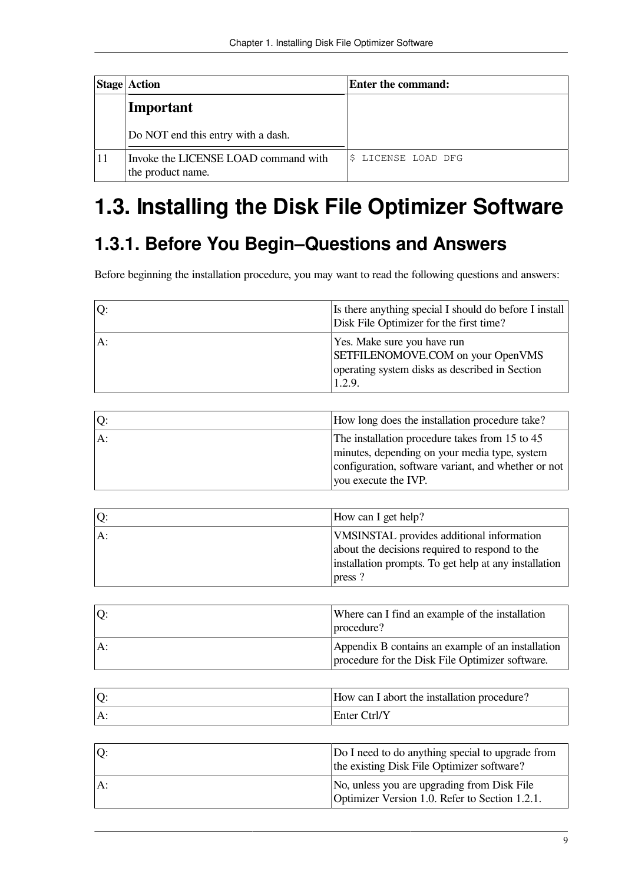|    | <b>Stage Action</b>                                       | Enter the command:  |  |  |
|----|-----------------------------------------------------------|---------------------|--|--|
|    | Important                                                 |                     |  |  |
|    | Do NOT end this entry with a dash.                        |                     |  |  |
| 11 | Invoke the LICENSE LOAD command with<br>the product name. | \$ LICENSE LOAD DFG |  |  |

# <span id="page-14-0"></span>**1.3. Installing the Disk File Optimizer Software**

# <span id="page-14-1"></span>**1.3.1. Before You Begin–Questions and Answers**

Before beginning the installation procedure, you may want to read the following questions and answers:

| Q: | Is there anything special I should do before I install<br>Disk File Optimizer for the first time?                            |
|----|------------------------------------------------------------------------------------------------------------------------------|
| A: | Yes. Make sure you have run<br>SETFILENOMOVE.COM on your OpenVMS<br>operating system disks as described in Section<br>1.2.9. |

| Q:  | How long does the installation procedure take?      |
|-----|-----------------------------------------------------|
| lA: | The installation procedure takes from 15 to 45      |
|     | minutes, depending on your media type, system       |
|     | configuration, software variant, and whether or not |
|     | you execute the IVP.                                |

| Q: | How can I get help?                                   |
|----|-------------------------------------------------------|
| A: | VMSINSTAL provides additional information             |
|    | about the decisions required to respond to the        |
|    | installation prompts. To get help at any installation |
|    | press?                                                |

|    | Where can I find an example of the installation<br> procedure?                                       |
|----|------------------------------------------------------------------------------------------------------|
| A: | Appendix B contains an example of an installation<br>procedure for the Disk File Optimizer software. |

| Q: | How can I abort the installation procedure? |
|----|---------------------------------------------|
| A: | Enter Ctrl/Y                                |

| Q:    | Do I need to do anything special to upgrade from<br>the existing Disk File Optimizer software? |
|-------|------------------------------------------------------------------------------------------------|
| $A$ : | No, unless you are upgrading from Disk File<br>Optimizer Version 1.0. Refer to Section 1.2.1.  |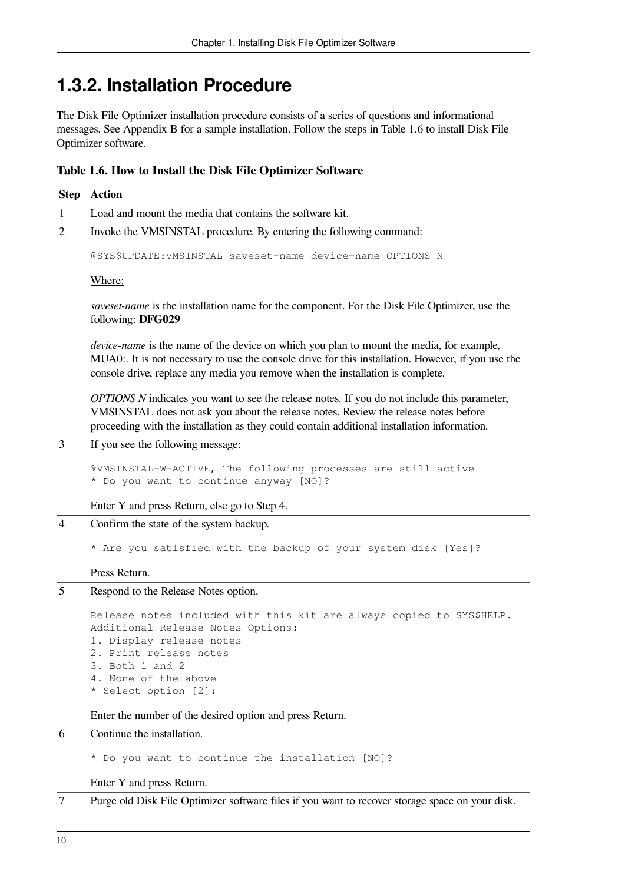# <span id="page-15-0"></span>**1.3.2. Installation Procedure**

The Disk File Optimizer installation procedure consists of a series of questions and informational messages. See Appendix B for a sample installation. Follow the steps in [Table](#page-15-1) 1.6 to install Disk File Optimizer software.

<span id="page-15-1"></span>

|  | Table 1.6. How to Install the Disk File Optimizer Software |  |  |  |  |
|--|------------------------------------------------------------|--|--|--|--|
|  |                                                            |  |  |  |  |

| <b>Step</b>    | <b>Action</b>                                                                                                                                                                                                                                                                           |  |  |  |
|----------------|-----------------------------------------------------------------------------------------------------------------------------------------------------------------------------------------------------------------------------------------------------------------------------------------|--|--|--|
| $\mathbf{1}$   | Load and mount the media that contains the software kit.                                                                                                                                                                                                                                |  |  |  |
| $\overline{2}$ | Invoke the VMSINSTAL procedure. By entering the following command:                                                                                                                                                                                                                      |  |  |  |
|                | @SYS\$UPDATE:VMSINSTAL saveset-name device-name OPTIONS N                                                                                                                                                                                                                               |  |  |  |
|                | Where:                                                                                                                                                                                                                                                                                  |  |  |  |
|                | saveset-name is the installation name for the component. For the Disk File Optimizer, use the<br>following: DFG029                                                                                                                                                                      |  |  |  |
|                | <i>device-name</i> is the name of the device on which you plan to mount the media, for example,<br>MUA0:. It is not necessary to use the console drive for this installation. However, if you use the<br>console drive, replace any media you remove when the installation is complete. |  |  |  |
|                | OPTIONS N indicates you want to see the release notes. If you do not include this parameter,<br>VMSINSTAL does not ask you about the release notes. Review the release notes before<br>proceeding with the installation as they could contain additional installation information.      |  |  |  |
| 3              | If you see the following message:                                                                                                                                                                                                                                                       |  |  |  |
|                | %VMSINSTAL-W-ACTIVE, The following processes are still active<br>* Do you want to continue anyway [NO]?                                                                                                                                                                                 |  |  |  |
|                | Enter Y and press Return, else go to Step 4.                                                                                                                                                                                                                                            |  |  |  |
| $\overline{4}$ | Confirm the state of the system backup.                                                                                                                                                                                                                                                 |  |  |  |
|                | * Are you satisfied with the backup of your system disk [Yes]?                                                                                                                                                                                                                          |  |  |  |
|                | Press Return.                                                                                                                                                                                                                                                                           |  |  |  |
| 5              | Respond to the Release Notes option.                                                                                                                                                                                                                                                    |  |  |  |
|                | Release notes included with this kit are always copied to SYS\$HELP.<br>Additional Release Notes Options:<br>1. Display release notes                                                                                                                                                   |  |  |  |
|                | 2. Print release notes<br>3. Both 1 and 2                                                                                                                                                                                                                                               |  |  |  |
|                | 4. None of the above                                                                                                                                                                                                                                                                    |  |  |  |
|                | * Select option [2]:                                                                                                                                                                                                                                                                    |  |  |  |
|                | Enter the number of the desired option and press Return.                                                                                                                                                                                                                                |  |  |  |
| 6              | Continue the installation.                                                                                                                                                                                                                                                              |  |  |  |
|                | * Do you want to continue the installation [NO]?                                                                                                                                                                                                                                        |  |  |  |
|                | Enter Y and press Return.                                                                                                                                                                                                                                                               |  |  |  |
| 7              | Purge old Disk File Optimizer software files if you want to recover storage space on your disk.                                                                                                                                                                                         |  |  |  |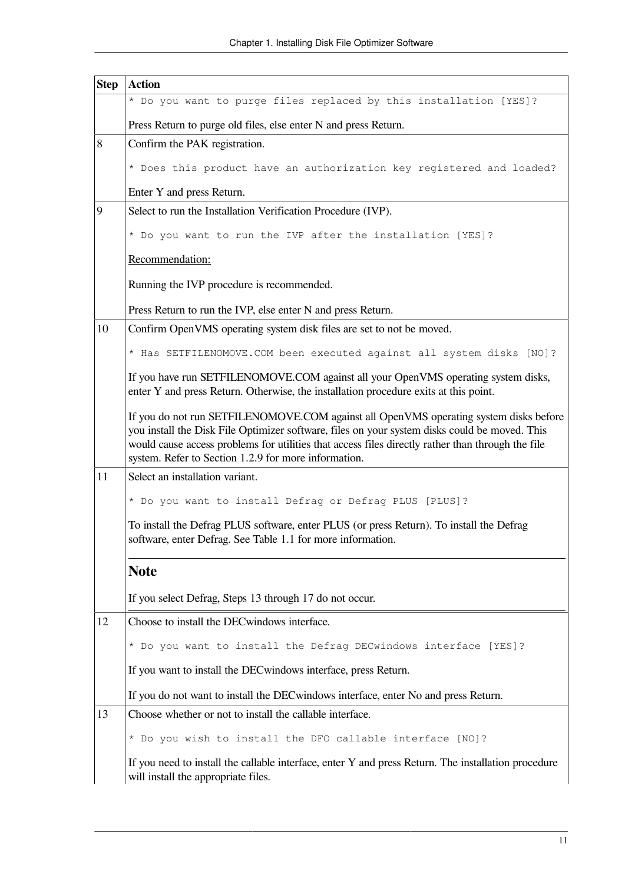| <b>Step</b> | <b>Action</b>                                                                                                                                                                                                                                                                                                                                       |
|-------------|-----------------------------------------------------------------------------------------------------------------------------------------------------------------------------------------------------------------------------------------------------------------------------------------------------------------------------------------------------|
|             | * Do you want to purge files replaced by this installation [YES]?                                                                                                                                                                                                                                                                                   |
|             | Press Return to purge old files, else enter N and press Return.                                                                                                                                                                                                                                                                                     |
| 8           | Confirm the PAK registration.                                                                                                                                                                                                                                                                                                                       |
|             | * Does this product have an authorization key registered and loaded?                                                                                                                                                                                                                                                                                |
|             | Enter Y and press Return.                                                                                                                                                                                                                                                                                                                           |
| 9           | Select to run the Installation Verification Procedure (IVP).                                                                                                                                                                                                                                                                                        |
|             | * Do you want to run the IVP after the installation [YES]?                                                                                                                                                                                                                                                                                          |
|             | Recommendation:                                                                                                                                                                                                                                                                                                                                     |
|             | Running the IVP procedure is recommended.                                                                                                                                                                                                                                                                                                           |
|             | Press Return to run the IVP, else enter N and press Return.                                                                                                                                                                                                                                                                                         |
| 10          | Confirm OpenVMS operating system disk files are set to not be moved.                                                                                                                                                                                                                                                                                |
|             | * Has SETFILENOMOVE. COM been executed against all system disks [NO]?                                                                                                                                                                                                                                                                               |
|             | If you have run SETFILENOMOVE.COM against all your OpenVMS operating system disks,<br>enter Y and press Return. Otherwise, the installation procedure exits at this point.                                                                                                                                                                          |
|             | If you do not run SETFILENOMOVE.COM against all OpenVMS operating system disks before<br>you install the Disk File Optimizer software, files on your system disks could be moved. This<br>would cause access problems for utilities that access files directly rather than through the file<br>system. Refer to Section 1.2.9 for more information. |
| 11          | Select an installation variant.                                                                                                                                                                                                                                                                                                                     |
|             | * Do you want to install Defrag or Defrag PLUS [PLUS]?                                                                                                                                                                                                                                                                                              |
|             | To install the Defrag PLUS software, enter PLUS (or press Return). To install the Defrag<br>software, enter Defrag. See Table 1.1 for more information.                                                                                                                                                                                             |
|             | <b>Note</b>                                                                                                                                                                                                                                                                                                                                         |
|             | If you select Defrag, Steps 13 through 17 do not occur.                                                                                                                                                                                                                                                                                             |
| 12          | Choose to install the DEC windows interface.                                                                                                                                                                                                                                                                                                        |
|             | * Do you want to install the Defrag DECwindows interface [YES]?                                                                                                                                                                                                                                                                                     |
|             | If you want to install the DEC windows interface, press Return.                                                                                                                                                                                                                                                                                     |
|             | If you do not want to install the DEC windows interface, enter No and press Return.                                                                                                                                                                                                                                                                 |
| 13          | Choose whether or not to install the callable interface.                                                                                                                                                                                                                                                                                            |
|             | * Do you wish to install the DFO callable interface [NO]?                                                                                                                                                                                                                                                                                           |
|             | If you need to install the callable interface, enter Y and press Return. The installation procedure<br>will install the appropriate files.                                                                                                                                                                                                          |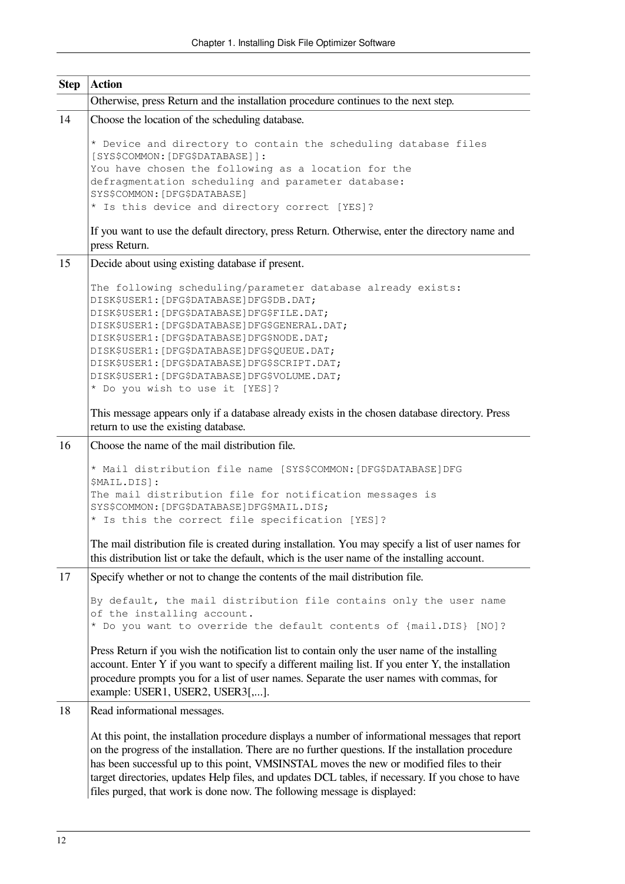| <b>Step</b> | <b>Action</b>                                                                                                                                                                                                                                                                                                                                                                                                                                                                         |  |  |  |  |
|-------------|---------------------------------------------------------------------------------------------------------------------------------------------------------------------------------------------------------------------------------------------------------------------------------------------------------------------------------------------------------------------------------------------------------------------------------------------------------------------------------------|--|--|--|--|
|             | Otherwise, press Return and the installation procedure continues to the next step.                                                                                                                                                                                                                                                                                                                                                                                                    |  |  |  |  |
| 14          | Choose the location of the scheduling database.                                                                                                                                                                                                                                                                                                                                                                                                                                       |  |  |  |  |
|             | * Device and directory to contain the scheduling database files<br>[SYS\$COMMON: [DFG\$DATABASE]]:<br>You have chosen the following as a location for the<br>defragmentation scheduling and parameter database:                                                                                                                                                                                                                                                                       |  |  |  |  |
|             | SYS\$COMMON: [DFG\$DATABASE]                                                                                                                                                                                                                                                                                                                                                                                                                                                          |  |  |  |  |
|             | * Is this device and directory correct [YES]?                                                                                                                                                                                                                                                                                                                                                                                                                                         |  |  |  |  |
|             | If you want to use the default directory, press Return. Otherwise, enter the directory name and<br>press Return.                                                                                                                                                                                                                                                                                                                                                                      |  |  |  |  |
| 15          | Decide about using existing database if present.                                                                                                                                                                                                                                                                                                                                                                                                                                      |  |  |  |  |
|             | The following scheduling/parameter database already exists:<br>DISK\$USER1: [DFG\$DATABASE]DFG\$DB.DAT;<br>DISK\$USER1: [DFG\$DATABASE]DFG\$FILE.DAT;<br>DISK\$USER1: [DFG\$DATABASE]DFG\$GENERAL.DAT;<br>DISK\$USER1: [DFG\$DATABASE]DFG\$NODE.DAT;<br>DISK\$USER1: [DFG\$DATABASE]DFG\$QUEUE.DAT;<br>DISK\$USER1: [DFG\$DATABASE]DFG\$SCRIPT.DAT;<br>DISK\$USER1: [DFG\$DATABASE]DFG\$VOLUME.DAT;<br>* Do you wish to use it [YES]?                                                 |  |  |  |  |
|             | This message appears only if a database already exists in the chosen database directory. Press<br>return to use the existing database.                                                                                                                                                                                                                                                                                                                                                |  |  |  |  |
| 16          | Choose the name of the mail distribution file.                                                                                                                                                                                                                                                                                                                                                                                                                                        |  |  |  |  |
|             | * Mail distribution file name [SYS\$COMMON: [DFG\$DATABASE]DFG<br>\$MAIL.DIS]:<br>The mail distribution file for notification messages is<br>SYS\$COMMON: [DFG\$DATABASE]DFG\$MAIL.DIS;<br>* Is this the correct file specification [YES]?                                                                                                                                                                                                                                            |  |  |  |  |
|             | The mail distribution file is created during installation. You may specify a list of user names for<br>this distribution list or take the default, which is the user name of the installing account.                                                                                                                                                                                                                                                                                  |  |  |  |  |
| 17          | Specify whether or not to change the contents of the mail distribution file.                                                                                                                                                                                                                                                                                                                                                                                                          |  |  |  |  |
|             | By default, the mail distribution file contains only the user name<br>of the installing account.<br>* Do you want to override the default contents of {mail.DIS} [NO]?                                                                                                                                                                                                                                                                                                                |  |  |  |  |
|             | Press Return if you wish the notification list to contain only the user name of the installing<br>account. Enter Y if you want to specify a different mailing list. If you enter Y, the installation<br>procedure prompts you for a list of user names. Separate the user names with commas, for<br>example: USER1, USER2, USER3[,].                                                                                                                                                  |  |  |  |  |
| 18          | Read informational messages.                                                                                                                                                                                                                                                                                                                                                                                                                                                          |  |  |  |  |
|             | At this point, the installation procedure displays a number of informational messages that report<br>on the progress of the installation. There are no further questions. If the installation procedure<br>has been successful up to this point, VMSINSTAL moves the new or modified files to their<br>target directories, updates Help files, and updates DCL tables, if necessary. If you chose to have<br>files purged, that work is done now. The following message is displayed: |  |  |  |  |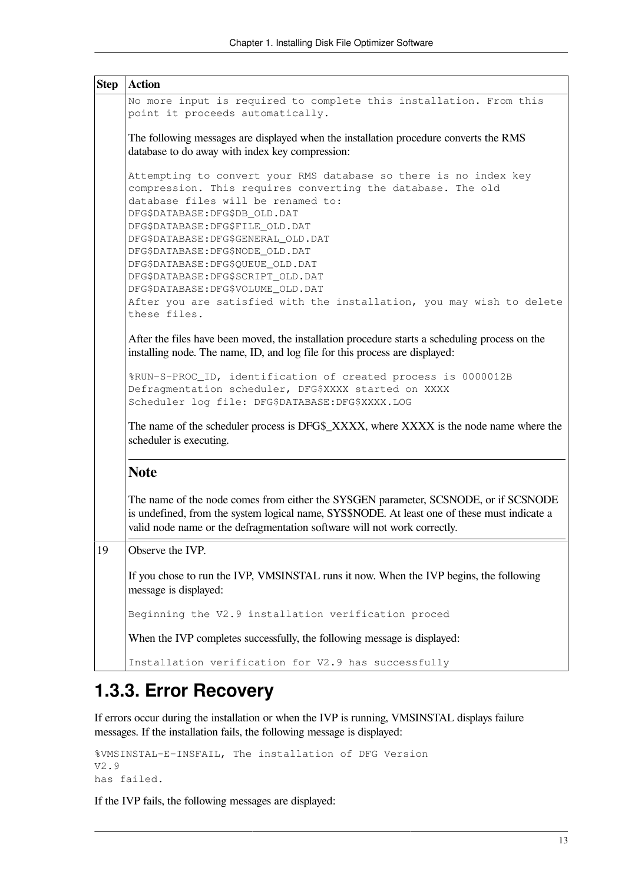| <b>Step</b>                                                                                                                                                                                                                                                                                                                                                | <b>Action</b>                                                                                                                                                                                                                                                                                                                                                                                                                                                                                                                 |  |  |  |  |
|------------------------------------------------------------------------------------------------------------------------------------------------------------------------------------------------------------------------------------------------------------------------------------------------------------------------------------------------------------|-------------------------------------------------------------------------------------------------------------------------------------------------------------------------------------------------------------------------------------------------------------------------------------------------------------------------------------------------------------------------------------------------------------------------------------------------------------------------------------------------------------------------------|--|--|--|--|
|                                                                                                                                                                                                                                                                                                                                                            | No more input is required to complete this installation. From this<br>point it proceeds automatically.<br>The following messages are displayed when the installation procedure converts the RMS<br>database to do away with index key compression:                                                                                                                                                                                                                                                                            |  |  |  |  |
|                                                                                                                                                                                                                                                                                                                                                            |                                                                                                                                                                                                                                                                                                                                                                                                                                                                                                                               |  |  |  |  |
|                                                                                                                                                                                                                                                                                                                                                            | Attempting to convert your RMS database so there is no index key<br>compression. This requires converting the database. The old<br>database files will be renamed to:<br>DFG\$DATABASE: DFG\$DB_OLD.DAT<br>DFG\$DATABASE:DFG\$FILE_OLD.DAT<br>DFG\$DATABASE:DFG\$GENERAL_OLD.DAT<br>DFG\$DATABASE: DFG\$NODE_OLD.DAT<br>DFG\$DATABASE: DFG\$QUEUE_OLD.DAT<br>DFG\$DATABASE:DFG\$SCRIPT_OLD.DAT<br>DFG\$DATABASE: DFG\$VOLUME_OLD.DAT<br>After you are satisfied with the installation, you may wish to delete<br>these files. |  |  |  |  |
| After the files have been moved, the installation procedure starts a scheduling process on the<br>installing node. The name, ID, and log file for this process are displayed:<br>%RUN-S-PROC_ID, identification of created process is 0000012B<br>Defragmentation scheduler, DFG\$XXXX started on XXXX<br>Scheduler log file: DFG\$DATABASE: DFG\$XXXX.LOG |                                                                                                                                                                                                                                                                                                                                                                                                                                                                                                                               |  |  |  |  |
|                                                                                                                                                                                                                                                                                                                                                            | The name of the scheduler process is DFG\$_XXXX, where XXXX is the node name where the<br>scheduler is executing.                                                                                                                                                                                                                                                                                                                                                                                                             |  |  |  |  |
|                                                                                                                                                                                                                                                                                                                                                            | <b>Note</b>                                                                                                                                                                                                                                                                                                                                                                                                                                                                                                                   |  |  |  |  |
|                                                                                                                                                                                                                                                                                                                                                            | The name of the node comes from either the SYSGEN parameter, SCSNODE, or if SCSNODE<br>is undefined, from the system logical name, SYS\$NODE. At least one of these must indicate a<br>valid node name or the defragmentation software will not work correctly.                                                                                                                                                                                                                                                               |  |  |  |  |
| 19                                                                                                                                                                                                                                                                                                                                                         | Observe the IVP.                                                                                                                                                                                                                                                                                                                                                                                                                                                                                                              |  |  |  |  |
|                                                                                                                                                                                                                                                                                                                                                            | If you chose to run the IVP, VMSINSTAL runs it now. When the IVP begins, the following<br>message is displayed:                                                                                                                                                                                                                                                                                                                                                                                                               |  |  |  |  |
|                                                                                                                                                                                                                                                                                                                                                            | Beginning the V2.9 installation verification proced                                                                                                                                                                                                                                                                                                                                                                                                                                                                           |  |  |  |  |
|                                                                                                                                                                                                                                                                                                                                                            | When the IVP completes successfully, the following message is displayed:                                                                                                                                                                                                                                                                                                                                                                                                                                                      |  |  |  |  |
|                                                                                                                                                                                                                                                                                                                                                            | Installation verification for V2.9 has successfully                                                                                                                                                                                                                                                                                                                                                                                                                                                                           |  |  |  |  |

# <span id="page-18-0"></span>**1.3.3. Error Recovery**

If errors occur during the installation or when the IVP is running, VMSINSTAL displays failure messages. If the installation fails, the following message is displayed:

```
%VMSINSTAL-E-INSFAIL, The installation of DFG Version
V2.9
has failed.
```
If the IVP fails, the following messages are displayed: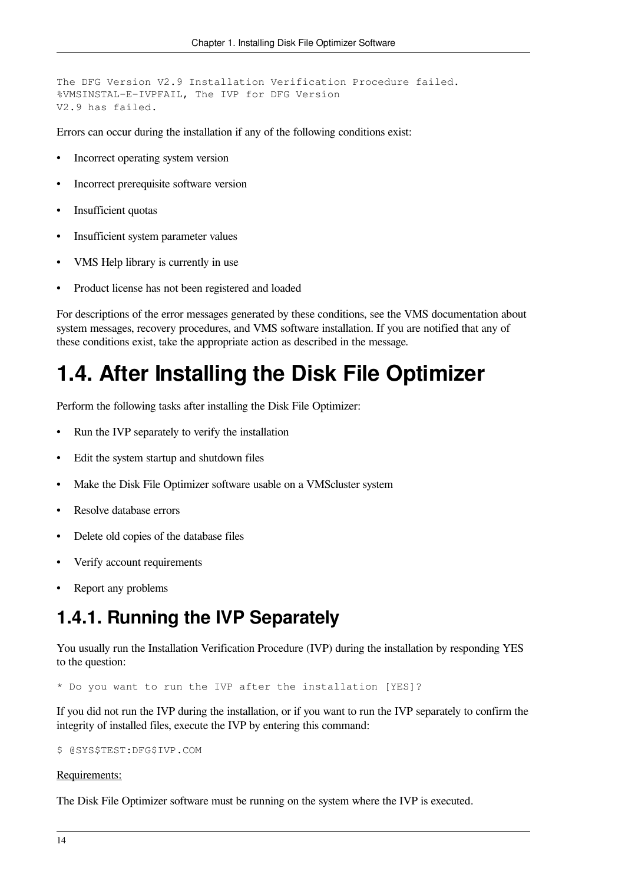The DFG Version V2.9 Installation Verification Procedure failed. %VMSINSTAL-E-IVPFAIL, The IVP for DFG Version V2.9 has failed.

Errors can occur during the installation if any of the following conditions exist:

- Incorrect operating system version
- Incorrect prerequisite software version
- Insufficient quotas
- Insufficient system parameter values
- VMS Help library is currently in use
- Product license has not been registered and loaded

For descriptions of the error messages generated by these conditions, see the VMS documentation about system messages, recovery procedures, and VMS software installation. If you are notified that any of these conditions exist, take the appropriate action as described in the message.

# <span id="page-19-0"></span>**1.4. After Installing the Disk File Optimizer**

Perform the following tasks after installing the Disk File Optimizer:

- Run the IVP separately to verify the installation
- Edit the system startup and shutdown files
- Make the Disk File Optimizer software usable on a VMScluster system
- Resolve database errors
- Delete old copies of the database files
- Verify account requirements
- <span id="page-19-1"></span>Report any problems

## **1.4.1. Running the IVP Separately**

You usually run the Installation Verification Procedure (IVP) during the installation by responding YES to the question:

\* Do you want to run the IVP after the installation [YES]?

If you did not run the IVP during the installation, or if you want to run the IVP separately to confirm the integrity of installed files, execute the IVP by entering this command:

```
$ @SYS$TEST:DFG$IVP.COM
```
#### Requirements:

The Disk File Optimizer software must be running on the system where the IVP is executed.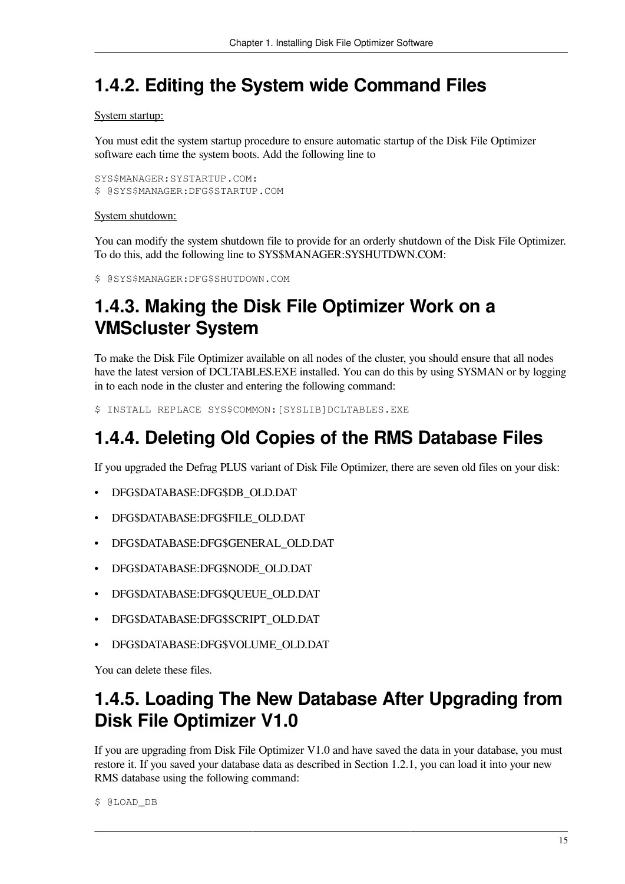## <span id="page-20-0"></span>**1.4.2. Editing the System wide Command Files**

#### System startup:

You must edit the system startup procedure to ensure automatic startup of the Disk File Optimizer software each time the system boots. Add the following line to

```
SYS$MANAGER:SYSTARTUP.COM:
$ @SYS$MANAGER:DFG$STARTUP.COM
```
#### System shutdown:

You can modify the system shutdown file to provide for an orderly shutdown of the Disk File Optimizer. To do this, add the following line to SYS\$MANAGER:SYSHUTDWN.COM:

```
$ @SYS$MANAGER:DFG$SHUTDOWN.COM
```
# <span id="page-20-1"></span>**1.4.3. Making the Disk File Optimizer Work on a VMScluster System**

To make the Disk File Optimizer available on all nodes of the cluster, you should ensure that all nodes have the latest version of DCLTABLES.EXE installed. You can do this by using SYSMAN or by logging in to each node in the cluster and entering the following command:

<span id="page-20-2"></span>\$ INSTALL REPLACE SYS\$COMMON:[SYSLIB]DCLTABLES.EXE

# **1.4.4. Deleting Old Copies of the RMS Database Files**

If you upgraded the Defrag PLUS variant of Disk File Optimizer, there are seven old files on your disk:

- DFG\$DATABASE:DFG\$DB\_OLD.DAT
- DFG\$DATABASE:DFG\$FILE\_OLD.DAT
- DFG\$DATABASE:DFG\$GENERAL\_OLD.DAT
- DFG\$DATABASE:DFG\$NODE\_OLD.DAT
- DFG\$DATABASE:DFG\$QUEUE\_OLD.DAT
- DFG\$DATABASE:DFG\$SCRIPT\_OLD.DAT
- DFG\$DATABASE:DFG\$VOLUME\_OLD.DAT

You can delete these files.

### <span id="page-20-3"></span>**1.4.5. Loading The New Database After Upgrading from Disk File Optimizer V1.0**

If you are upgrading from Disk File Optimizer V1.0 and have saved the data in your database, you must restore it. If you saved your database data as described in [Section](#page-7-0) 1.2.1, you can load it into your new RMS database using the following command:

\$ @LOAD\_DB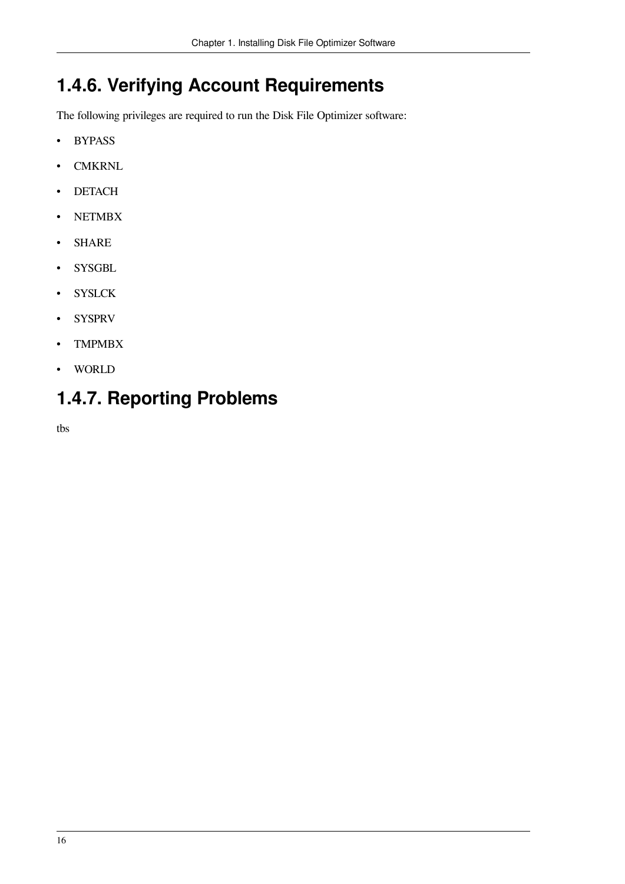# <span id="page-21-0"></span>**1.4.6. Verifying Account Requirements**

The following privileges are required to run the Disk File Optimizer software:

- BYPASS
- CMKRNL
- DETACH
- NETMBX
- SHARE
- SYSGBL
- SYSLCK
- SYSPRV
- TMPMBX
- WORLD

## <span id="page-21-1"></span>**1.4.7. Reporting Problems**

tbs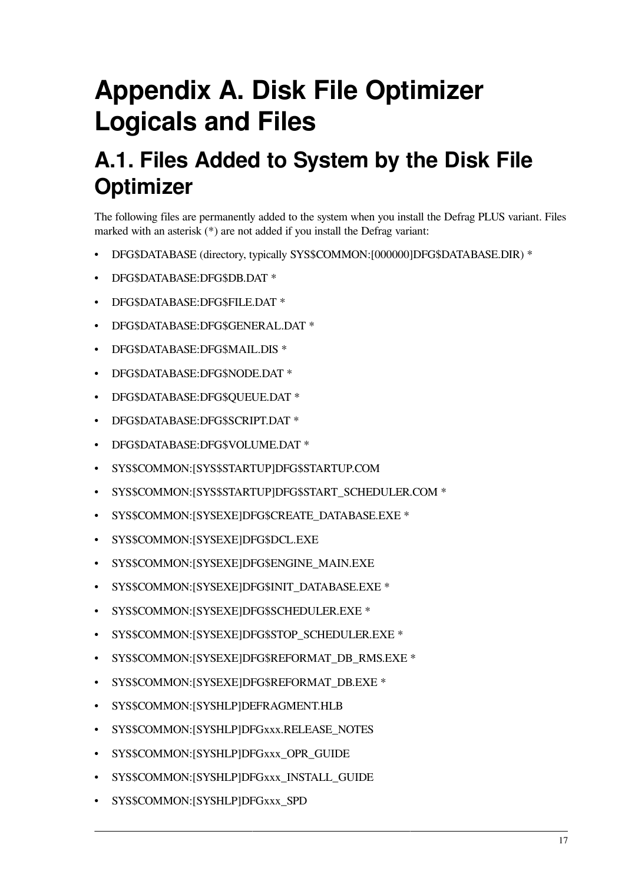# <span id="page-22-0"></span>**Appendix A. Disk File Optimizer Logicals and Files**

# <span id="page-22-1"></span>**A.1. Files Added to System by the Disk File Optimizer**

The following files are permanently added to the system when you install the Defrag PLUS variant. Files marked with an asterisk (\*) are not added if you install the Defrag variant:

- DFG\$DATABASE (directory, typically SYS\$COMMON:[000000]DFG\$DATABASE.DIR) \*
- DFG\$DATABASE:DFG\$DB.DAT \*
- DFG\$DATABASE:DFG\$FILE.DAT \*
- DFG\$DATABASE:DFG\$GENERAL.DAT \*
- DFG\$DATABASE:DFG\$MAIL.DIS \*
- DFG\$DATABASE:DFG\$NODE.DAT \*
- DFG\$DATABASE:DFG\$QUEUE.DAT \*
- DFG\$DATABASE:DFG\$SCRIPT.DAT \*
- DFG\$DATABASE:DFG\$VOLUME.DAT \*
- SYS\$COMMON:[SYS\$STARTUP]DFG\$STARTUP.COM
- SYS\$COMMON:[SYS\$STARTUP]DFG\$START\_SCHEDULER.COM \*
- SYS\$COMMON:[SYSEXE]DFG\$CREATE\_DATABASE.EXE \*
- SYS\$COMMON:[SYSEXE]DFG\$DCL.EXE
- SYS\$COMMON:[SYSEXE]DFG\$ENGINE\_MAIN.EXE
- SYS\$COMMON:[SYSEXE]DFG\$INIT\_DATABASE.EXE \*
- SYS\$COMMON:[SYSEXE]DFG\$SCHEDULER.EXE \*
- SYS\$COMMON:[SYSEXE]DFG\$STOP\_SCHEDULER.EXE \*
- SYS\$COMMON:[SYSEXE]DFG\$REFORMAT\_DB\_RMS.EXE \*
- SYS\$COMMON:[SYSEXE]DFG\$REFORMAT\_DB.EXE \*
- SYS\$COMMON:[SYSHLP]DEFRAGMENT.HLB
- SYS\$COMMON:[SYSHLP]DFGxxx.RELEASE\_NOTES
- SYS\$COMMON:[SYSHLP]DFGxxx\_OPR\_GUIDE
- SYS\$COMMON:[SYSHLP]DFGxxx\_INSTALL\_GUIDE
- SYS\$COMMON:[SYSHLP]DFGxxx\_SPD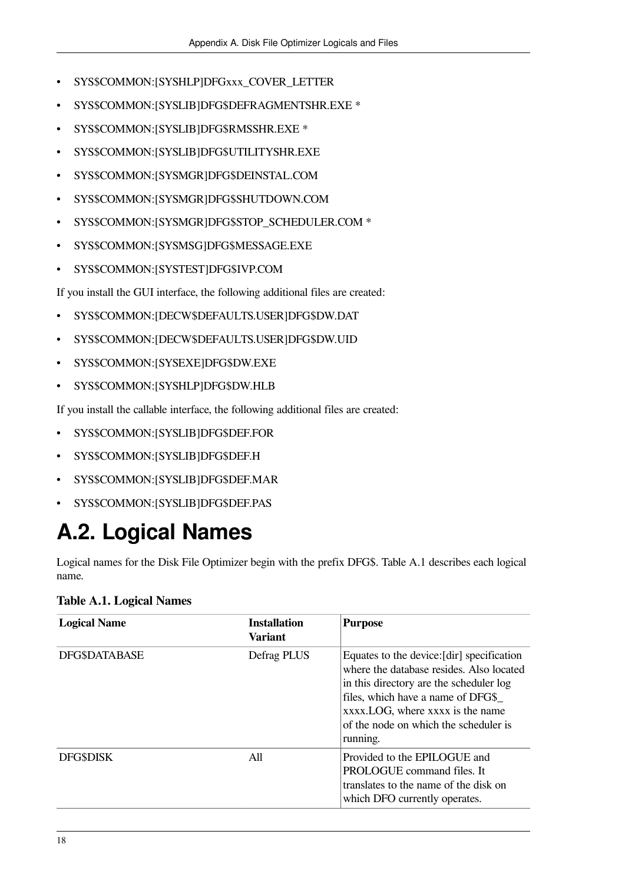- SYS\$COMMON:[SYSHLP]DFGxxx\_COVER\_LETTER
- SYS\$COMMON:[SYSLIB]DFG\$DEFRAGMENTSHR.EXE \*
- SYS\$COMMON:[SYSLIB]DFG\$RMSSHR.EXE \*
- SYS\$COMMON:[SYSLIB]DFG\$UTILITYSHR.EXE
- SYS\$COMMON:[SYSMGR]DFG\$DEINSTAL.COM
- SYS\$COMMON:[SYSMGR]DFG\$SHUTDOWN.COM
- SYS\$COMMON:[SYSMGR]DFG\$STOP\_SCHEDULER.COM \*
- SYS\$COMMON:[SYSMSG]DFG\$MESSAGE.EXE
- SYS\$COMMON:[SYSTEST]DFG\$IVP.COM

If you install the GUI interface, the following additional files are created:

- SYS\$COMMON:[DECW\$DEFAULTS.USER]DFG\$DW.DAT
- SYS\$COMMON:[DECW\$DEFAULTS.USER]DFG\$DW.UID
- SYS\$COMMON:[SYSEXE]DFG\$DW.EXE
- SYS\$COMMON:[SYSHLP]DFG\$DW.HLB

If you install the callable interface, the following additional files are created:

- SYS\$COMMON:[SYSLIB]DFG\$DEF.FOR
- SYS\$COMMON:[SYSLIB]DFG\$DEF.H
- SYS\$COMMON:[SYSLIB]DFG\$DEF.MAR
- SYS\$COMMON:[SYSLIB]DFG\$DEF.PAS

# <span id="page-23-0"></span>**A.2. Logical Names**

Logical names for the Disk File Optimizer begin with the prefix DFG\$. [Table](#page-23-1) A.1 describes each logical name.

<span id="page-23-1"></span>**Table A.1. Logical Names**

| <b>Logical Name</b>  | <b>Installation</b><br><b>Variant</b> | <b>Purpose</b>                                                                                                                                                                                                                                                  |
|----------------------|---------------------------------------|-----------------------------------------------------------------------------------------------------------------------------------------------------------------------------------------------------------------------------------------------------------------|
| <b>DFG\$DATABASE</b> | Defrag PLUS                           | Equates to the device: [dir] specification<br>where the database resides. Also located<br>in this directory are the scheduler log<br>files, which have a name of DFG\$<br>xxxx.LOG, where xxxx is the name<br>of the node on which the scheduler is<br>running. |
| <b>DFG\$DISK</b>     | All                                   | Provided to the EPILOGUE and<br><b>PROLOGUE</b> command files. It<br>translates to the name of the disk on<br>which DFO currently operates.                                                                                                                     |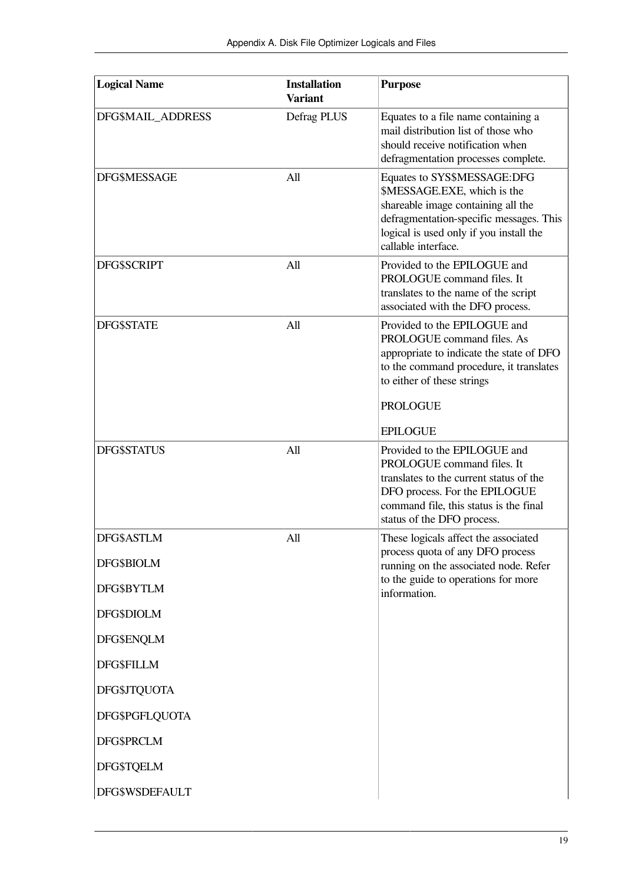| <b>Logical Name</b>      | <b>Installation</b><br><b>Variant</b> | <b>Purpose</b>                                                                                                                                                                                                        |
|--------------------------|---------------------------------------|-----------------------------------------------------------------------------------------------------------------------------------------------------------------------------------------------------------------------|
| DFG\$MAIL_ADDRESS        | Defrag PLUS                           | Equates to a file name containing a<br>mail distribution list of those who<br>should receive notification when<br>defragmentation processes complete.                                                                 |
| <b>DFG\$MESSAGE</b>      | All                                   | Equates to SYS\$MESSAGE:DFG<br>\$MESSAGE.EXE, which is the<br>shareable image containing all the<br>defragmentation-specific messages. This<br>logical is used only if you install the<br>callable interface.         |
| <b>DFG\$SCRIPT</b>       | All                                   | Provided to the EPILOGUE and<br>PROLOGUE command files. It<br>translates to the name of the script<br>associated with the DFO process.                                                                                |
| <b>DFG\$STATE</b>        | All                                   | Provided to the EPILOGUE and<br>PROLOGUE command files. As<br>appropriate to indicate the state of DFO<br>to the command procedure, it translates<br>to either of these strings<br><b>PROLOGUE</b><br><b>EPILOGUE</b> |
| DFG\$STATUS              | All                                   | Provided to the EPILOGUE and<br>PROLOGUE command files. It<br>translates to the current status of the<br>DFO process. For the EPILOGUE<br>command file, this status is the final<br>status of the DFO process.        |
| DFG\$ASTLM<br>DFG\$BIOLM | All                                   | These logicals affect the associated<br>process quota of any DFO process<br>running on the associated node. Refer                                                                                                     |
| DFG\$BYTLM               |                                       | to the guide to operations for more<br>information.                                                                                                                                                                   |
| DFG\$DIOLM               |                                       |                                                                                                                                                                                                                       |
| DFG\$ENQLM               |                                       |                                                                                                                                                                                                                       |
| <b>DFG\$FILLM</b>        |                                       |                                                                                                                                                                                                                       |
| <b>DFG\$JTQUOTA</b>      |                                       |                                                                                                                                                                                                                       |
| DFG\$PGFLQUOTA           |                                       |                                                                                                                                                                                                                       |
| DFG\$PRCLM               |                                       |                                                                                                                                                                                                                       |
| DFG\$TQELM               |                                       |                                                                                                                                                                                                                       |
| DFG\$WSDEFAULT           |                                       |                                                                                                                                                                                                                       |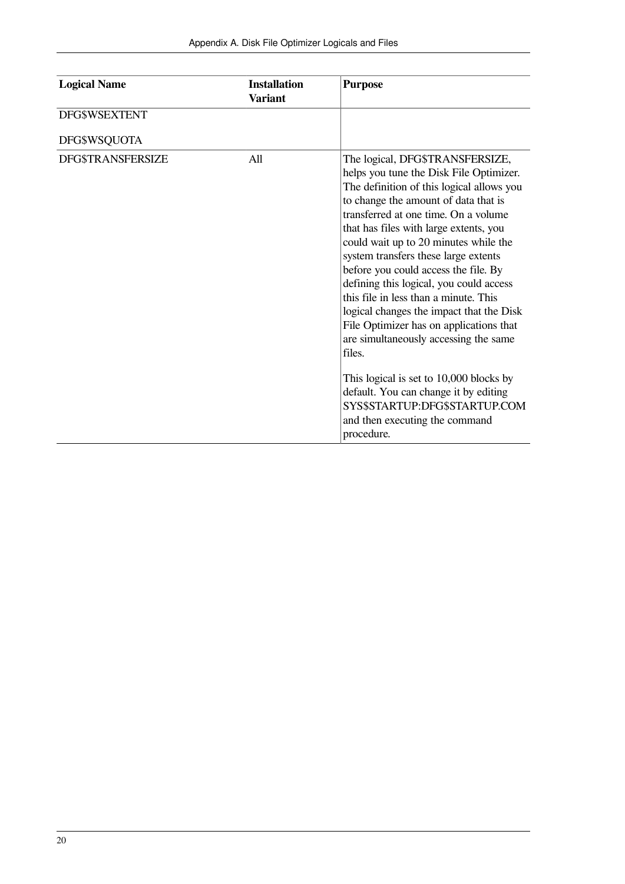| <b>Logical Name</b>      | <b>Installation</b><br><b>Variant</b> | <b>Purpose</b>                                                                                                                                                                                                                                                                                                                                                                                                                                                                                                                                                                                                                                                                                                                                                                |
|--------------------------|---------------------------------------|-------------------------------------------------------------------------------------------------------------------------------------------------------------------------------------------------------------------------------------------------------------------------------------------------------------------------------------------------------------------------------------------------------------------------------------------------------------------------------------------------------------------------------------------------------------------------------------------------------------------------------------------------------------------------------------------------------------------------------------------------------------------------------|
| <b>DFG\$WSEXTENT</b>     |                                       |                                                                                                                                                                                                                                                                                                                                                                                                                                                                                                                                                                                                                                                                                                                                                                               |
| DFG\$WSQUOTA             |                                       |                                                                                                                                                                                                                                                                                                                                                                                                                                                                                                                                                                                                                                                                                                                                                                               |
| <b>DFG\$TRANSFERSIZE</b> | All                                   | The logical, DFG\$TRANSFERSIZE,<br>helps you tune the Disk File Optimizer.<br>The definition of this logical allows you<br>to change the amount of data that is<br>transferred at one time. On a volume<br>that has files with large extents, you<br>could wait up to 20 minutes while the<br>system transfers these large extents<br>before you could access the file. By<br>defining this logical, you could access<br>this file in less than a minute. This<br>logical changes the impact that the Disk<br>File Optimizer has on applications that<br>are simultaneously accessing the same<br>files.<br>This logical is set to 10,000 blocks by<br>default. You can change it by editing<br>SYS\$STARTUP:DFG\$STARTUP.COM<br>and then executing the command<br>procedure. |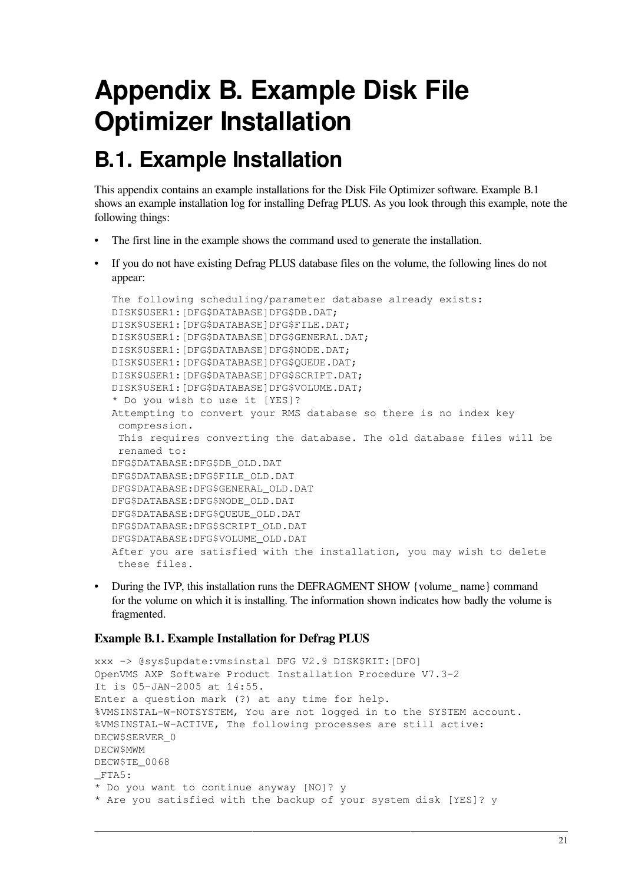# <span id="page-26-0"></span>**Appendix B. Example Disk File Optimizer Installation**

# <span id="page-26-1"></span>**B.1. Example Installation**

This appendix contains an example installations for the Disk File Optimizer software. [Example](#page-26-2) B.1 shows an example installation log for installing Defrag PLUS. As you look through this example, note the following things:

- The first line in the example shows the command used to generate the installation.
- If you do not have existing Defrag PLUS database files on the volume, the following lines do not appear:

```
The following scheduling/parameter database already exists:
DISK$USER1:[DFG$DATABASE]DFG$DB.DAT;
DISK$USER1:[DFG$DATABASE]DFG$FILE.DAT;
DISK$USER1:[DFG$DATABASE]DFG$GENERAL.DAT;
DISK$USER1:[DFG$DATABASE]DFG$NODE.DAT;
DISK$USER1:[DFG$DATABASE]DFG$QUEUE.DAT;
DISK$USER1:[DFG$DATABASE]DFG$SCRIPT.DAT;
DISK$USER1:[DFG$DATABASE]DFG$VOLUME.DAT;
* Do you wish to use it [YES]?
Attempting to convert your RMS database so there is no index key
  compression.
 This requires converting the database. The old database files will be
 renamed to:
DFG$DATABASE:DFG$DB_OLD.DAT
DFG$DATABASE:DFG$FILE_OLD.DAT
DFG$DATABASE:DFG$GENERAL_OLD.DAT
DFG$DATABASE:DFG$NODE_OLD.DAT
DFG$DATABASE:DFG$QUEUE_OLD.DAT
DFG$DATABASE:DFG$SCRIPT_OLD.DAT
DFG$DATABASE:DFG$VOLUME_OLD.DAT
After you are satisfied with the installation, you may wish to delete
  these files.
```
• During the IVP, this installation runs the DEFRAGMENT SHOW {volume\_ name} command for the volume on which it is installing. The information shown indicates how badly the volume is fragmented.

### <span id="page-26-2"></span>**Example B.1. Example Installation for Defrag PLUS**

```
xxx -> @sys$update:vmsinstal DFG V2.9 DISK$KIT:[DFO]
OpenVMS AXP Software Product Installation Procedure V7.3-2
It is 05-JAN-2005 at 14:55.
Enter a question mark (?) at any time for help.
%VMSINSTAL-W-NOTSYSTEM, You are not logged in to the SYSTEM account.
%VMSINSTAL-W-ACTIVE, The following processes are still active:
DECW$SERVER_0
DECW$MWM
DECW$TE_0068
_FTA5:
* Do you want to continue anyway [NO]? y
* Are you satisfied with the backup of your system disk [YES]? y
```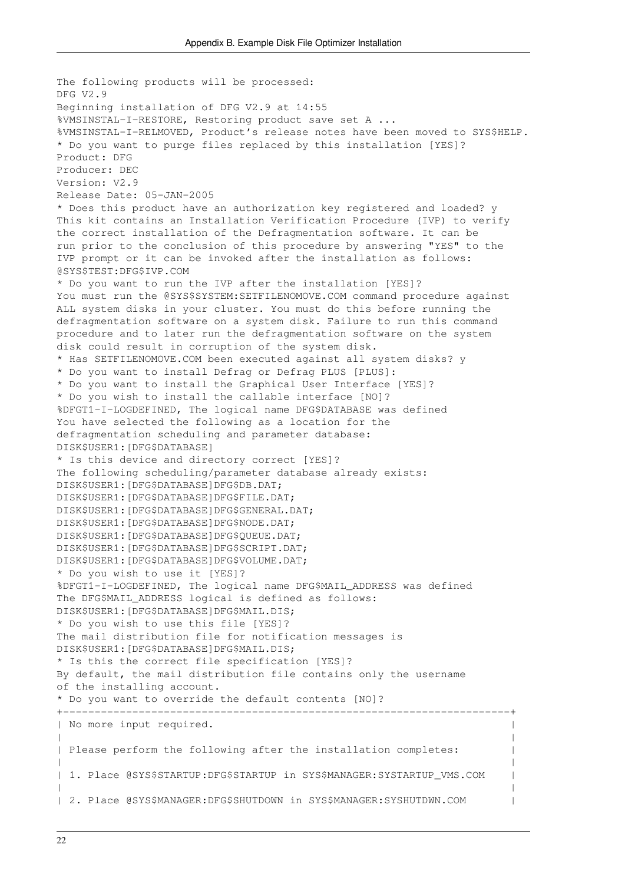The following products will be processed: DFG V2.9 Beginning installation of DFG V2.9 at 14:55 %VMSINSTAL-I-RESTORE, Restoring product save set A ... %VMSINSTAL-I-RELMOVED, Product's release notes have been moved to SYS\$HELP. \* Do you want to purge files replaced by this installation [YES]? Product: DFG Producer: DEC Version: V2.9 Release Date: 05-JAN-2005 \* Does this product have an authorization key registered and loaded? y This kit contains an Installation Verification Procedure (IVP) to verify the correct installation of the Defragmentation software. It can be run prior to the conclusion of this procedure by answering "YES" to the IVP prompt or it can be invoked after the installation as follows: @SYS\$TEST:DFG\$IVP.COM \* Do you want to run the IVP after the installation [YES]? You must run the @SYS\$SYSTEM: SETFILENOMOVE.COM command procedure against ALL system disks in your cluster. You must do this before running the defragmentation software on a system disk. Failure to run this command procedure and to later run the defragmentation software on the system disk could result in corruption of the system disk. \* Has SETFILENOMOVE.COM been executed against all system disks? y \* Do you want to install Defrag or Defrag PLUS [PLUS]: \* Do you want to install the Graphical User Interface [YES]? \* Do you wish to install the callable interface [NO]? %DFGT1-I-LOGDEFINED, The logical name DFG\$DATABASE was defined You have selected the following as a location for the defragmentation scheduling and parameter database: DISK\$USER1:[DFG\$DATABASE] \* Is this device and directory correct [YES]? The following scheduling/parameter database already exists: DISK\$USER1:[DFG\$DATABASE]DFG\$DB.DAT; DISK\$USER1:[DFG\$DATABASE]DFG\$FILE.DAT; DISK\$USER1:[DFG\$DATABASE]DFG\$GENERAL.DAT; DISK\$USER1:[DFG\$DATABASE]DFG\$NODE.DAT; DISK\$USER1:[DFG\$DATABASE]DFG\$QUEUE.DAT; DISK\$USER1:[DFG\$DATABASE]DFG\$SCRIPT.DAT; DISK\$USER1:[DFG\$DATABASE]DFG\$VOLUME.DAT; \* Do you wish to use it [YES]? %DFGT1-I-LOGDEFINED, The logical name DFG\$MAIL\_ADDRESS was defined The DFG\$MAIL ADDRESS logical is defined as follows: DISK\$USER1:[DFG\$DATABASE]DFG\$MAIL.DIS; \* Do you wish to use this file [YES]? The mail distribution file for notification messages is DISK\$USER1:[DFG\$DATABASE]DFG\$MAIL.DIS; \* Is this the correct file specification [YES]? By default, the mail distribution file contains only the username of the installing account. \* Do you want to override the default contents [NO]? +-----------------------------------------------------------------------+ | No more input required. | | | | Please perform the following after the installation completes: | | | 1. Place @SYS\$STARTUP:DFG\$STARTUP in SYS\$MANAGER:SYSTARTUP VMS.COM | | | | 2. Place @SYS\$MANAGER:DFG\$SHUTDOWN in SYS\$MANAGER:SYSHUTDWN.COM |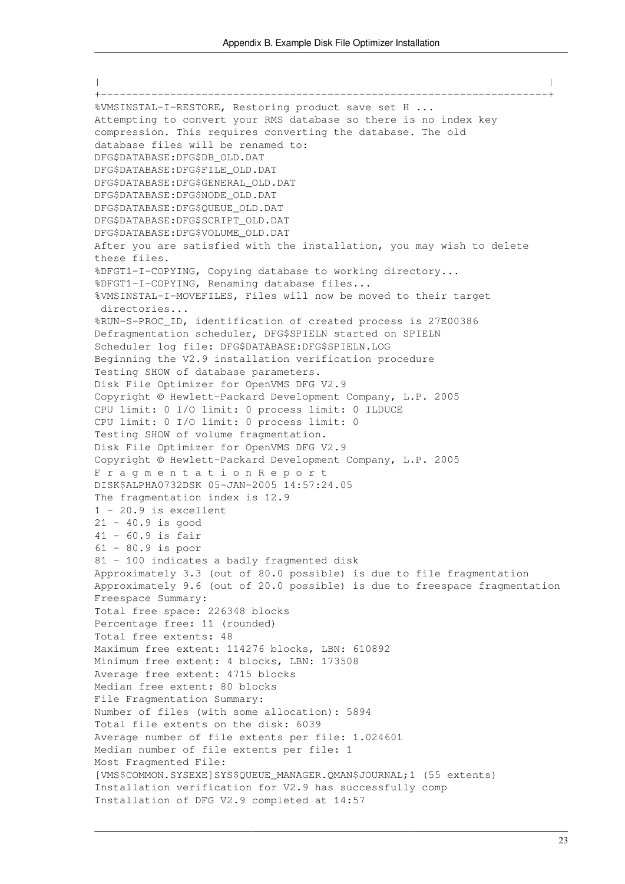| | +-----------------------------------------------------------------------+ %VMSINSTAL-I-RESTORE, Restoring product save set H ... Attempting to convert your RMS database so there is no index key compression. This requires converting the database. The old database files will be renamed to: DFG\$DATABASE:DFG\$DB\_OLD.DAT DFG\$DATABASE:DFG\$FILE\_OLD.DAT DFG\$DATABASE:DFG\$GENERAL\_OLD.DAT DFG\$DATABASE:DFG\$NODE\_OLD.DAT DFG\$DATABASE:DFG\$QUEUE\_OLD.DAT DFG\$DATABASE:DFG\$SCRIPT\_OLD.DAT DFG\$DATABASE:DFG\$VOLUME\_OLD.DAT After you are satisfied with the installation, you may wish to delete these files. %DFGT1-I-COPYING, Copying database to working directory... %DFGT1-I-COPYING, Renaming database files... %VMSINSTAL-I-MOVEFILES, Files will now be moved to their target directories... %RUN-S-PROC\_ID, identification of created process is 27E00386 Defragmentation scheduler, DFG\$SPIELN started on SPIELN Scheduler log file: DFG\$DATABASE:DFG\$SPIELN.LOG Beginning the V2.9 installation verification procedure Testing SHOW of database parameters. Disk File Optimizer for OpenVMS DFG V2.9 Copyright © Hewlett-Packard Development Company, L.P. 2005 CPU limit: 0 I/O limit: 0 process limit: 0 ILDUCE CPU limit: 0 I/O limit: 0 process limit: 0 Testing SHOW of volume fragmentation. Disk File Optimizer for OpenVMS DFG V2.9 Copyright © Hewlett-Packard Development Company, L.P. 2005 F r a g m e n t a t i o n R e p o r t DISK\$ALPHA0732DSK 05-JAN-2005 14:57:24.05 The fragmentation index is 12.9  $1 - 20.9$  is excellent 21 - 40.9 is good  $41 - 60.9$  is fair 61 - 80.9 is poor 81 - 100 indicates a badly fragmented disk Approximately 3.3 (out of 80.0 possible) is due to file fragmentation Approximately 9.6 (out of 20.0 possible) is due to freespace fragmentation Freespace Summary: Total free space: 226348 blocks Percentage free: 11 (rounded) Total free extents: 48 Maximum free extent: 114276 blocks, LBN: 610892 Minimum free extent: 4 blocks, LBN: 173508 Average free extent: 4715 blocks Median free extent: 80 blocks File Fragmentation Summary: Number of files (with some allocation): 5894 Total file extents on the disk: 6039 Average number of file extents per file: 1.024601 Median number of file extents per file: 1 Most Fragmented File: [VMS\$COMMON.SYSEXE]SYS\$QUEUE\_MANAGER.QMAN\$JOURNAL;1 (55 extents) Installation verification for V2.9 has successfully comp Installation of DFG V2.9 completed at 14:57